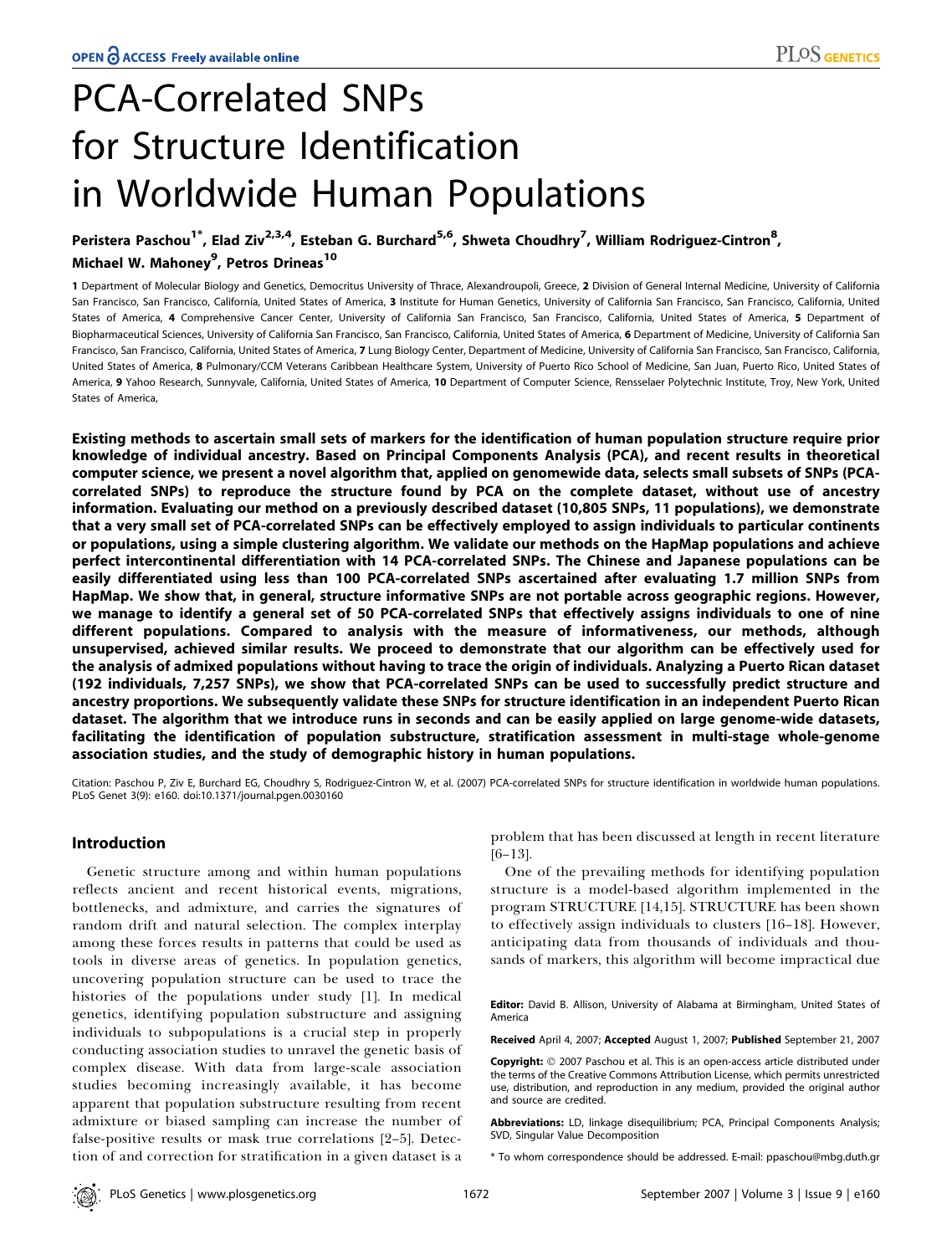# PCA-Correlated SNPs for Structure Identification in Worldwide Human Populations

## Peristera Paschou $^{1^\ast}$ , Elad Ziv $^{2,3,4}$ , Esteban G. Burchard $^{5,6}$ , Shweta Choudhry $^7$ , William Rodriguez-Cintron $^8$ , Michael W. Mahoney<sup>9</sup>, Petros Drineas<sup>10</sup>

1 Department of Molecular Biology and Genetics, Democritus University of Thrace, Alexandroupoli, Greece, 2 Division of General Internal Medicine, University of California San Francisco, San Francisco, California, United States of America, 3 Institute for Human Genetics, University of California San Francisco, San Francisco, California, United States of America, 4 Comprehensive Cancer Center, University of California San Francisco, San Francisco, California, United States of America, 5 Department of Biopharmaceutical Sciences, University of California San Francisco, San Francisco, California, United States of America, 6 Department of Medicine, University of California San Francisco, San Francisco, California, United States of America, 7 Lung Biology Center, Department of Medicine, University of California San Francisco, San Francisco, California, United States of America, 8 Pulmonary/CCM Veterans Caribbean Healthcare System, University of Puerto Rico School of Medicine, San Juan, Puerto Rico, United States of America, 9 Yahoo Research, Sunnyvale, California, United States of America, 10 Department of Computer Science, Rensselaer Polytechnic Institute, Troy, New York, United States of America,

Existing methods to ascertain small sets of markers for the identification of human population structure require prior knowledge of individual ancestry. Based on Principal Components Analysis (PCA), and recent results in theoretical computer science, we present a novel algorithm that, applied on genomewide data, selects small subsets of SNPs (PCAcorrelated SNPs) to reproduce the structure found by PCA on the complete dataset, without use of ancestry information. Evaluating our method on a previously described dataset (10,805 SNPs, 11 populations), we demonstrate that a very small set of PCA-correlated SNPs can be effectively employed to assign individuals to particular continents or populations, using a simple clustering algorithm. We validate our methods on the HapMap populations and achieve perfect intercontinental differentiation with 14 PCA-correlated SNPs. The Chinese and Japanese populations can be easily differentiated using less than 100 PCA-correlated SNPs ascertained after evaluating 1.7 million SNPs from HapMap. We show that, in general, structure informative SNPs are not portable across geographic regions. However, we manage to identify a general set of 50 PCA-correlated SNPs that effectively assigns individuals to one of nine different populations. Compared to analysis with the measure of informativeness, our methods, although unsupervised, achieved similar results. We proceed to demonstrate that our algorithm can be effectively used for the analysis of admixed populations without having to trace the origin of individuals. Analyzing a Puerto Rican dataset (192 individuals, 7,257 SNPs), we show that PCA-correlated SNPs can be used to successfully predict structure and ancestry proportions. We subsequently validate these SNPs for structure identification in an independent Puerto Rican dataset. The algorithm that we introduce runs in seconds and can be easily applied on large genome-wide datasets, facilitating the identification of population substructure, stratification assessment in multi-stage whole-genome association studies, and the study of demographic history in human populations.

Citation: Paschou P, Ziv E, Burchard EG, Choudhry S, Rodriguez-Cintron W, et al. (2007) PCA-correlated SNPs for structure identification in worldwide human populations. PLoS Genet 3(9): e160. doi:10.1371/journal.pgen.0030160

## Introduction

Genetic structure among and within human populations reflects ancient and recent historical events, migrations, bottlenecks, and admixture, and carries the signatures of random drift and natural selection. The complex interplay among these forces results in patterns that could be used as tools in diverse areas of genetics. In population genetics, uncovering population structure can be used to trace the histories of the populations under study [1]. In medical genetics, identifying population substructure and assigning individuals to subpopulations is a crucial step in properly conducting association studies to unravel the genetic basis of complex disease. With data from large-scale association studies becoming increasingly available, it has become apparent that population substructure resulting from recent admixture or biased sampling can increase the number of false-positive results or mask true correlations [2–5]. Detection of and correction for stratification in a given dataset is a problem that has been discussed at length in recent literature [6–13].

One of the prevailing methods for identifying population structure is a model-based algorithm implemented in the program STRUCTURE [14,15]. STRUCTURE has been shown to effectively assign individuals to clusters [16–18]. However, anticipating data from thousands of individuals and thousands of markers, this algorithm will become impractical due

Editor: David B. Allison, University of Alabama at Birmingham, United States of America

Received April 4, 2007; Accepted August 1, 2007; Published September 21, 2007

Copyright: © 2007 Paschou et al. This is an open-access article distributed under the terms of the Creative Commons Attribution License, which permits unrestricted use, distribution, and reproduction in any medium, provided the original author and source are credited.

Abbreviations: LD, linkage disequilibrium; PCA, Principal Components Analysis; SVD, Singular Value Decomposition

\* To whom correspondence should be addressed. E-mail: ppaschou@mbg.duth.gr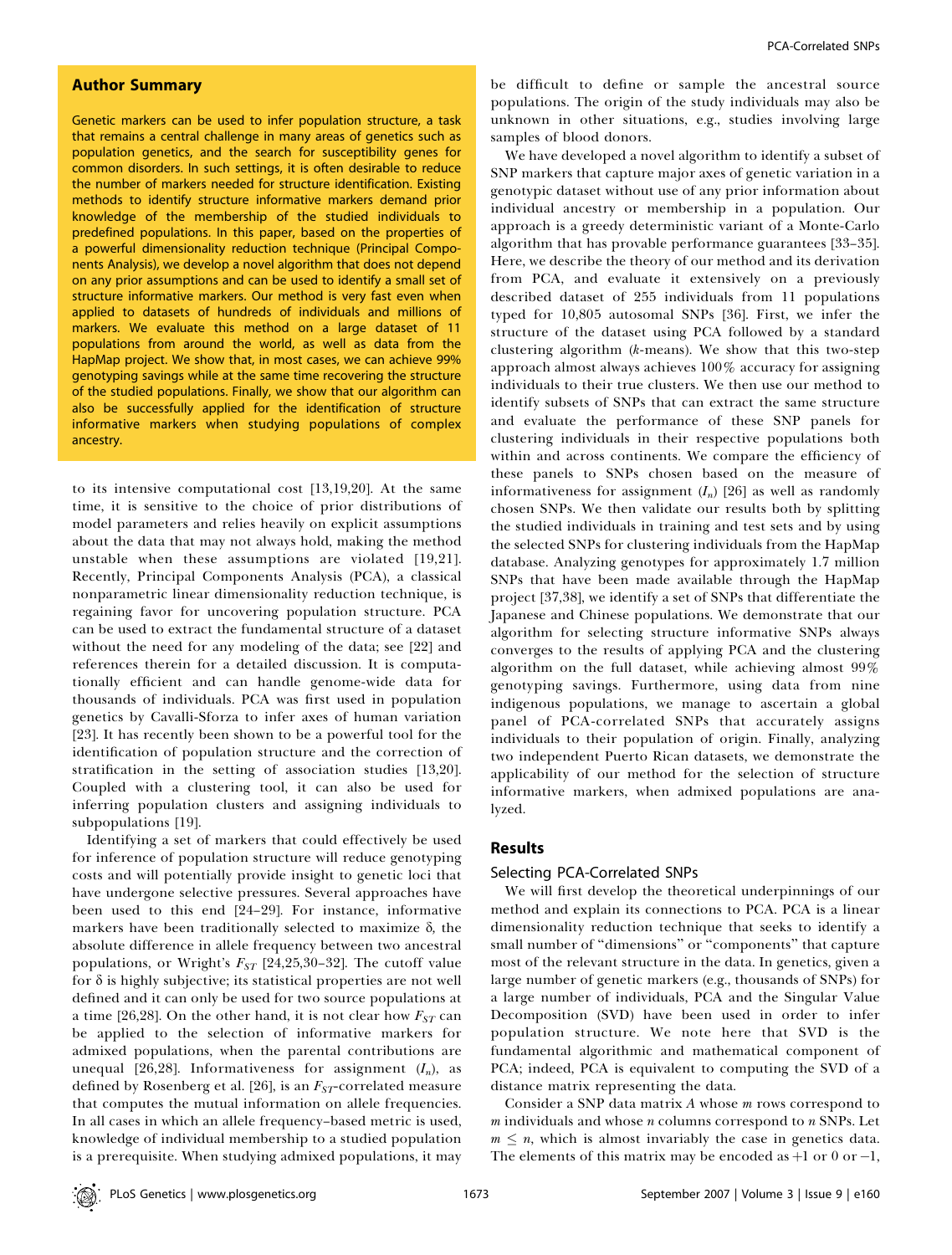## Author Summary

Genetic markers can be used to infer population structure, a task that remains a central challenge in many areas of genetics such as population genetics, and the search for susceptibility genes for common disorders. In such settings, it is often desirable to reduce the number of markers needed for structure identification. Existing methods to identify structure informative markers demand prior knowledge of the membership of the studied individuals to predefined populations. In this paper, based on the properties of a powerful dimensionality reduction technique (Principal Components Analysis), we develop a novel algorithm that does not depend on any prior assumptions and can be used to identify a small set of structure informative markers. Our method is very fast even when applied to datasets of hundreds of individuals and millions of markers. We evaluate this method on a large dataset of 11 populations from around the world, as well as data from the HapMap project. We show that, in most cases, we can achieve 99% genotyping savings while at the same time recovering the structure of the studied populations. Finally, we show that our algorithm can also be successfully applied for the identification of structure informative markers when studying populations of complex ancestry.

to its intensive computational cost [13,19,20]. At the same time, it is sensitive to the choice of prior distributions of model parameters and relies heavily on explicit assumptions about the data that may not always hold, making the method unstable when these assumptions are violated [19,21]. Recently, Principal Components Analysis (PCA), a classical nonparametric linear dimensionality reduction technique, is regaining favor for uncovering population structure. PCA can be used to extract the fundamental structure of a dataset without the need for any modeling of the data; see [22] and references therein for a detailed discussion. It is computationally efficient and can handle genome-wide data for thousands of individuals. PCA was first used in population genetics by Cavalli-Sforza to infer axes of human variation [23]. It has recently been shown to be a powerful tool for the identification of population structure and the correction of stratification in the setting of association studies [13,20]. Coupled with a clustering tool, it can also be used for inferring population clusters and assigning individuals to subpopulations [19].

Identifying a set of markers that could effectively be used for inference of population structure will reduce genotyping costs and will potentially provide insight to genetic loci that have undergone selective pressures. Several approaches have been used to this end [24–29]. For instance, informative markers have been traditionally selected to maximize  $\delta$ , the absolute difference in allele frequency between two ancestral populations, or Wright's  $F_{ST}$  [24,25,30-32]. The cutoff value for  $\delta$  is highly subjective; its statistical properties are not well defined and it can only be used for two source populations at a time [26,28]. On the other hand, it is not clear how  $F_{ST}$  can be applied to the selection of informative markers for admixed populations, when the parental contributions are unequal [26,28]. Informativeness for assignment  $(I_n)$ , as defined by Rosenberg et al. [26], is an  $F_{ST}$ -correlated measure that computes the mutual information on allele frequencies. In all cases in which an allele frequency–based metric is used, knowledge of individual membership to a studied population is a prerequisite. When studying admixed populations, it may be difficult to define or sample the ancestral source populations. The origin of the study individuals may also be unknown in other situations, e.g., studies involving large samples of blood donors.

We have developed a novel algorithm to identify a subset of SNP markers that capture major axes of genetic variation in a genotypic dataset without use of any prior information about individual ancestry or membership in a population. Our approach is a greedy deterministic variant of a Monte-Carlo algorithm that has provable performance guarantees [33–35]. Here, we describe the theory of our method and its derivation from PCA, and evaluate it extensively on a previously described dataset of 255 individuals from 11 populations typed for 10,805 autosomal SNPs [36]. First, we infer the structure of the dataset using PCA followed by a standard clustering algorithm (k-means). We show that this two-step approach almost always achieves 100% accuracy for assigning individuals to their true clusters. We then use our method to identify subsets of SNPs that can extract the same structure and evaluate the performance of these SNP panels for clustering individuals in their respective populations both within and across continents. We compare the efficiency of these panels to SNPs chosen based on the measure of informativeness for assignment  $(I_n)$  [26] as well as randomly chosen SNPs. We then validate our results both by splitting the studied individuals in training and test sets and by using the selected SNPs for clustering individuals from the HapMap database. Analyzing genotypes for approximately 1.7 million SNPs that have been made available through the HapMap project [37,38], we identify a set of SNPs that differentiate the Japanese and Chinese populations. We demonstrate that our algorithm for selecting structure informative SNPs always converges to the results of applying PCA and the clustering algorithm on the full dataset, while achieving almost 99% genotyping savings. Furthermore, using data from nine indigenous populations, we manage to ascertain a global panel of PCA-correlated SNPs that accurately assigns individuals to their population of origin. Finally, analyzing two independent Puerto Rican datasets, we demonstrate the applicability of our method for the selection of structure informative markers, when admixed populations are analyzed.

### Results

### Selecting PCA-Correlated SNPs

We will first develop the theoretical underpinnings of our method and explain its connections to PCA. PCA is a linear dimensionality reduction technique that seeks to identify a small number of "dimensions" or "components" that capture most of the relevant structure in the data. In genetics, given a large number of genetic markers (e.g., thousands of SNPs) for a large number of individuals, PCA and the Singular Value Decomposition (SVD) have been used in order to infer population structure. We note here that SVD is the fundamental algorithmic and mathematical component of PCA; indeed, PCA is equivalent to computing the SVD of a distance matrix representing the data.

Consider a SNP data matrix  $A$  whose  $m$  rows correspond to  $m$  individuals and whose  $n$  columns correspond to  $n$  SNPs. Let  $m \leq n$ , which is almost invariably the case in genetics data. The elements of this matrix may be encoded as  $+1$  or 0 or  $-1$ ,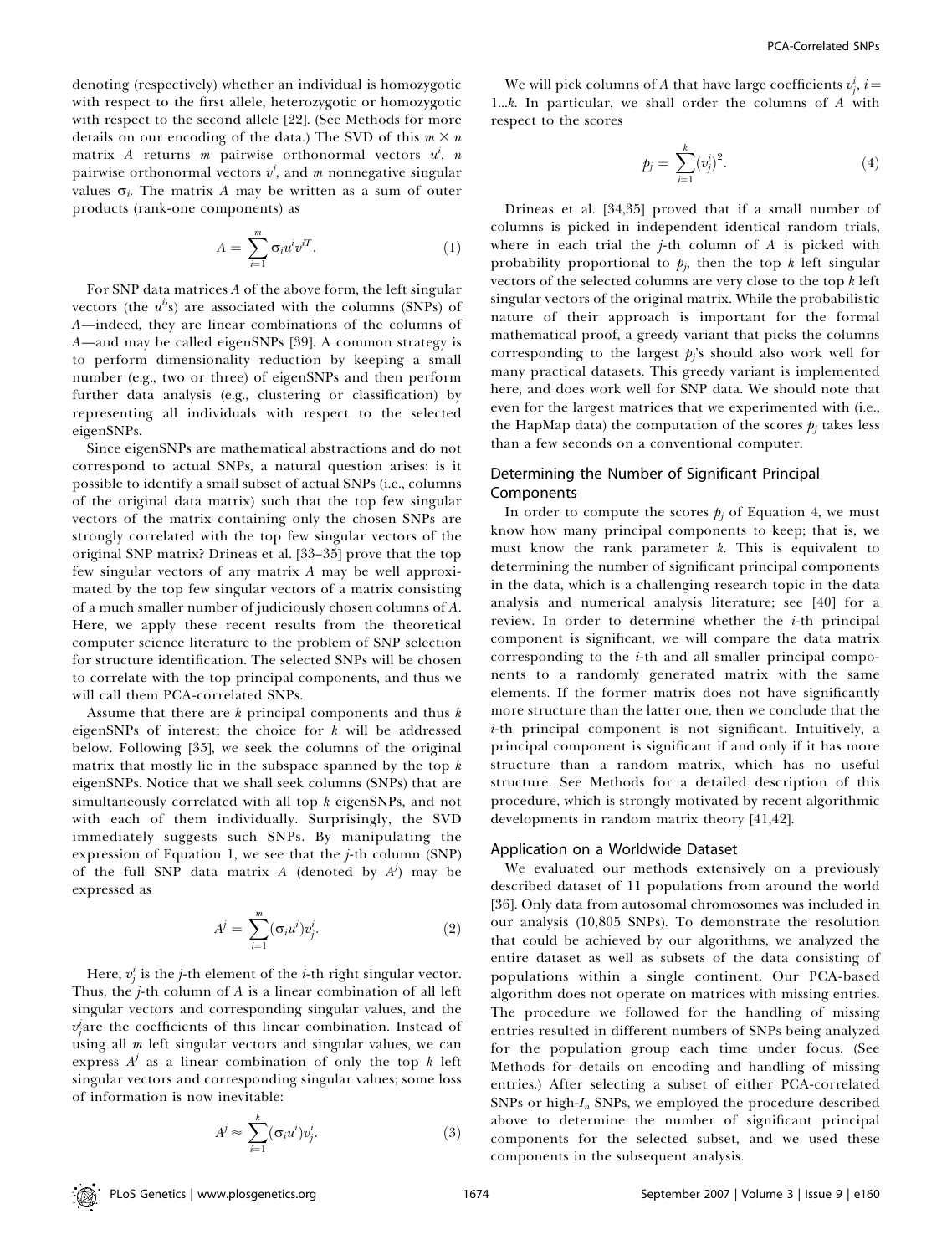denoting (respectively) whether an individual is homozygotic with respect to the first allele, heterozygotic or homozygotic with respect to the second allele [22]. (See Methods for more details on our encoding of the data.) The SVD of this  $m \times n$ matrix A returns m pairwise orthonormal vectors  $u^i$ , n pairwise orthonormal vectors  $v^i$ , and m nonnegative singular values  $\sigma_i$ . The matrix A may be written as a sum of outer products (rank-one components) as

$$
A = \sum_{i=1}^{m} \sigma_i u^i v^{i}
$$
 (1)

For SNP data matrices A of the above form, the left singular vectors (the  $u^{i_s}$ s) are associated with the columns (SNPs) of A—indeed, they are linear combinations of the columns of A—and may be called eigenSNPs [39]. A common strategy is to perform dimensionality reduction by keeping a small number (e.g., two or three) of eigenSNPs and then perform further data analysis (e.g., clustering or classification) by representing all individuals with respect to the selected eigenSNPs.

Since eigenSNPs are mathematical abstractions and do not correspond to actual SNPs, a natural question arises: is it possible to identify a small subset of actual SNPs (i.e., columns of the original data matrix) such that the top few singular vectors of the matrix containing only the chosen SNPs are strongly correlated with the top few singular vectors of the original SNP matrix? Drineas et al. [33–35] prove that the top few singular vectors of any matrix A may be well approximated by the top few singular vectors of a matrix consisting of a much smaller number of judiciously chosen columns of A. Here, we apply these recent results from the theoretical computer science literature to the problem of SNP selection for structure identification. The selected SNPs will be chosen to correlate with the top principal components, and thus we will call them PCA-correlated SNPs.

Assume that there are  $k$  principal components and thus  $k$ eigenSNPs of interest; the choice for  $k$  will be addressed below. Following [35], we seek the columns of the original matrix that mostly lie in the subspace spanned by the top  $k$ eigenSNPs. Notice that we shall seek columns (SNPs) that are simultaneously correlated with all top  $k$  eigenSNPs, and not with each of them individually. Surprisingly, the SVD immediately suggests such SNPs. By manipulating the expression of Equation 1, we see that the  $j$ -th column (SNP) of the full SNP data matrix A (denoted by  $A^j$ ) may be expressed as

$$
A^j = \sum_{i=1}^m (\sigma_i u^i) v_j^i.
$$
 (2)

Here,  $v_j^i$  is the *j*-th element of the *i*-th right singular vector. Thus, the j-th column of A is a linear combination of all left singular vectors and corresponding singular values, and the  $v_j^i$ are the coefficients of this linear combination. Instead of using all  $m$  left singular vectors and singular values, we can express  $A^j$  as a linear combination of only the top k left singular vectors and corresponding singular values; some loss of information is now inevitable:

$$
A^j \approx \sum_{i=1}^k (\sigma_i u^i) v_j^i.
$$
 (3)

We will pick columns of A that have large coefficients  $v_j^i$ ,  $i$  = 1...k. In particular, we shall order the columns of A with respect to the scores

$$
p_j = \sum_{i=1}^k (v_j^i)^2.
$$
 (4)

Drineas et al. [34,35] proved that if a small number of columns is picked in independent identical random trials, where in each trial the  $j$ -th column of  $A$  is picked with probability proportional to  $p_j$ , then the top  $k$  left singular vectors of the selected columns are very close to the top  $k$  left singular vectors of the original matrix. While the probabilistic nature of their approach is important for the formal mathematical proof, a greedy variant that picks the columns corresponding to the largest  $p_j$ 's should also work well for many practical datasets. This greedy variant is implemented here, and does work well for SNP data. We should note that even for the largest matrices that we experimented with (i.e., the HapMap data) the computation of the scores  $p_i$  takes less than a few seconds on a conventional computer.

## Determining the Number of Significant Principal Components

In order to compute the scores  $p_j$  of Equation 4, we must know how many principal components to keep; that is, we must know the rank parameter  $k$ . This is equivalent to determining the number of significant principal components in the data, which is a challenging research topic in the data analysis and numerical analysis literature; see [40] for a review. In order to determine whether the  $i$ -th principal component is significant, we will compare the data matrix corresponding to the i-th and all smaller principal components to a randomly generated matrix with the same elements. If the former matrix does not have significantly more structure than the latter one, then we conclude that the i-th principal component is not significant. Intuitively, a principal component is significant if and only if it has more structure than a random matrix, which has no useful structure. See Methods for a detailed description of this procedure, which is strongly motivated by recent algorithmic developments in random matrix theory [41,42].

#### Application on a Worldwide Dataset

We evaluated our methods extensively on a previously described dataset of 11 populations from around the world [36]. Only data from autosomal chromosomes was included in our analysis (10,805 SNPs). To demonstrate the resolution that could be achieved by our algorithms, we analyzed the entire dataset as well as subsets of the data consisting of populations within a single continent. Our PCA-based algorithm does not operate on matrices with missing entries. The procedure we followed for the handling of missing entries resulted in different numbers of SNPs being analyzed for the population group each time under focus. (See Methods for details on encoding and handling of missing entries.) After selecting a subset of either PCA-correlated SNPs or high- $I_n$  SNPs, we employed the procedure described above to determine the number of significant principal components for the selected subset, and we used these components in the subsequent analysis.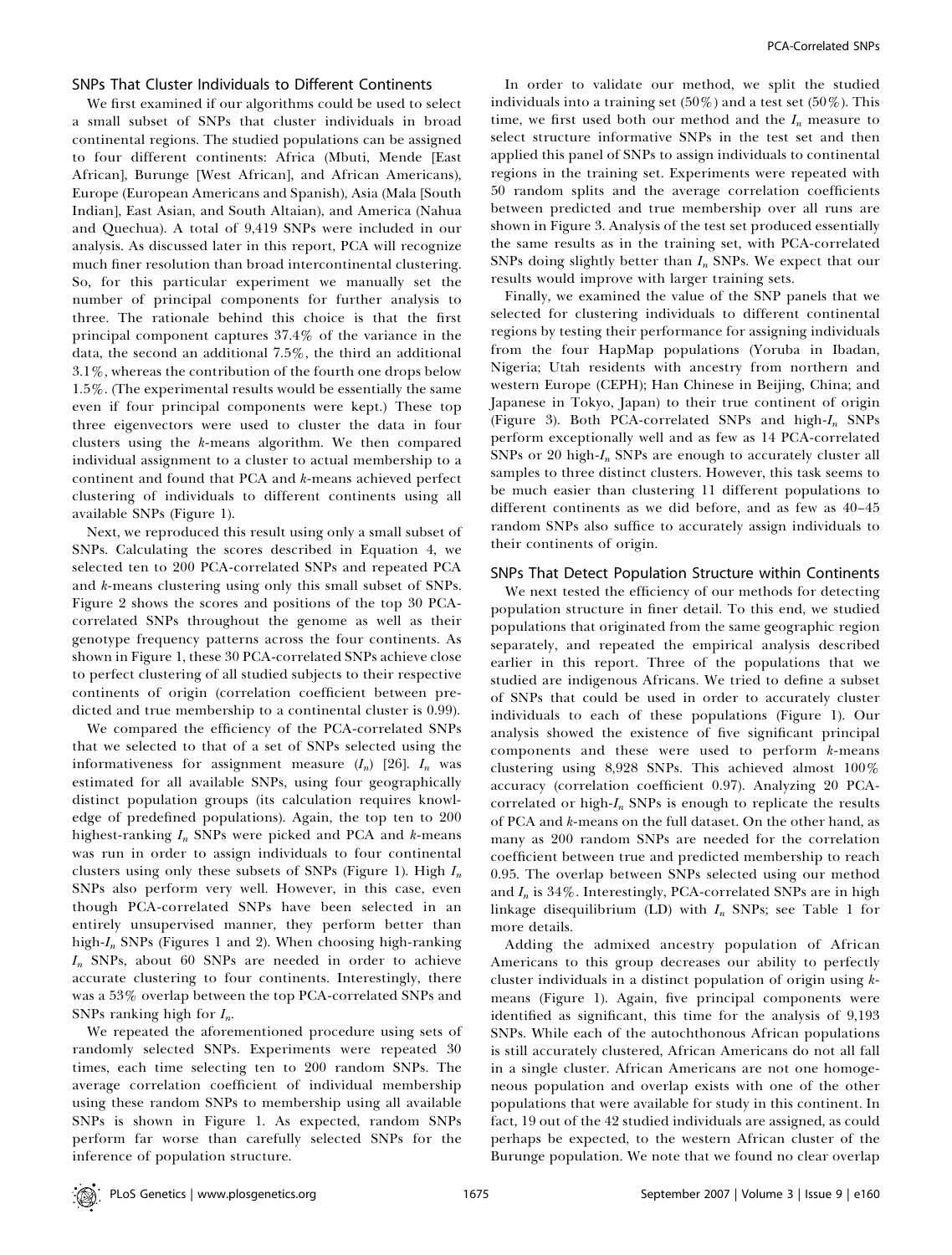#### SNPs That Cluster Individuals to Different Continents

We first examined if our algorithms could be used to select a small subset of SNPs that cluster individuals in broad continental regions. The studied populations can be assigned to four different continents: Africa (Mbuti, Mende [East African], Burunge [West African], and African Americans), Europe (European Americans and Spanish), Asia (Mala [South Indian], East Asian, and South Altaian), and America (Nahua and Quechua). A total of 9,419 SNPs were included in our analysis. As discussed later in this report, PCA will recognize much finer resolution than broad intercontinental clustering. So, for this particular experiment we manually set the number of principal components for further analysis to three. The rationale behind this choice is that the first principal component captures 37.4% of the variance in the data, the second an additional 7.5%, the third an additional 3.1%, whereas the contribution of the fourth one drops below 1.5%. (The experimental results would be essentially the same even if four principal components were kept.) These top three eigenvectors were used to cluster the data in four clusters using the k-means algorithm. We then compared individual assignment to a cluster to actual membership to a continent and found that PCA and k-means achieved perfect clustering of individuals to different continents using all available SNPs (Figure 1).

Next, we reproduced this result using only a small subset of SNPs. Calculating the scores described in Equation 4, we selected ten to 200 PCA-correlated SNPs and repeated PCA and k-means clustering using only this small subset of SNPs. Figure 2 shows the scores and positions of the top 30 PCAcorrelated SNPs throughout the genome as well as their genotype frequency patterns across the four continents. As shown in Figure 1, these 30 PCA-correlated SNPs achieve close to perfect clustering of all studied subjects to their respective continents of origin (correlation coefficient between predicted and true membership to a continental cluster is 0.99).

We compared the efficiency of the PCA-correlated SNPs that we selected to that of a set of SNPs selected using the informativeness for assignment measure  $(I_n)$  [26].  $I_n$  was estimated for all available SNPs, using four geographically distinct population groups (its calculation requires knowledge of predefined populations). Again, the top ten to 200 highest-ranking  $I_n$  SNPs were picked and PCA and  $k$ -means was run in order to assign individuals to four continental clusters using only these subsets of SNPs (Figure 1). High  $I_n$ SNPs also perform very well. However, in this case, even though PCA-correlated SNPs have been selected in an entirely unsupervised manner, they perform better than high- $I_n$  SNPs (Figures 1 and 2). When choosing high-ranking  $I_n$  SNPs, about 60 SNPs are needed in order to achieve accurate clustering to four continents. Interestingly, there was a 53% overlap between the top PCA-correlated SNPs and SNPs ranking high for  $I_n$ .

We repeated the aforementioned procedure using sets of randomly selected SNPs. Experiments were repeated 30 times, each time selecting ten to 200 random SNPs. The average correlation coefficient of individual membership using these random SNPs to membership using all available SNPs is shown in Figure 1. As expected, random SNPs perform far worse than carefully selected SNPs for the inference of population structure.

In order to validate our method, we split the studied individuals into a training set  $(50\%)$  and a test set  $(50\%)$ . This time, we first used both our method and the  $I_n$  measure to select structure informative SNPs in the test set and then applied this panel of SNPs to assign individuals to continental regions in the training set. Experiments were repeated with 50 random splits and the average correlation coefficients between predicted and true membership over all runs are shown in Figure 3. Analysis of the test set produced essentially the same results as in the training set, with PCA-correlated SNPs doing slightly better than  $I_n$  SNPs. We expect that our results would improve with larger training sets.

Finally, we examined the value of the SNP panels that we selected for clustering individuals to different continental regions by testing their performance for assigning individuals from the four HapMap populations (Yoruba in Ibadan, Nigeria; Utah residents with ancestry from northern and western Europe (CEPH); Han Chinese in Beijing, China; and Japanese in Tokyo, Japan) to their true continent of origin (Figure 3). Both PCA-correlated SNPs and high- $I_n$  SNPs perform exceptionally well and as few as 14 PCA-correlated SNPs or 20 high- $I_n$  SNPs are enough to accurately cluster all samples to three distinct clusters. However, this task seems to be much easier than clustering 11 different populations to different continents as we did before, and as few as 40–45 random SNPs also suffice to accurately assign individuals to their continents of origin.

#### SNPs That Detect Population Structure within Continents

We next tested the efficiency of our methods for detecting population structure in finer detail. To this end, we studied populations that originated from the same geographic region separately, and repeated the empirical analysis described earlier in this report. Three of the populations that we studied are indigenous Africans. We tried to define a subset of SNPs that could be used in order to accurately cluster individuals to each of these populations (Figure 1). Our analysis showed the existence of five significant principal components and these were used to perform k-means clustering using 8,928 SNPs. This achieved almost 100% accuracy (correlation coefficient 0.97). Analyzing 20 PCAcorrelated or high- $I_n$  SNPs is enough to replicate the results of PCA and k-means on the full dataset. On the other hand, as many as 200 random SNPs are needed for the correlation coefficient between true and predicted membership to reach 0.95. The overlap between SNPs selected using our method and  $I_n$  is 34%. Interestingly, PCA-correlated SNPs are in high linkage disequilibrium (LD) with  $I_n$  SNPs; see Table 1 for more details.

Adding the admixed ancestry population of African Americans to this group decreases our ability to perfectly cluster individuals in a distinct population of origin using kmeans (Figure 1). Again, five principal components were identified as significant, this time for the analysis of 9,193 SNPs. While each of the autochthonous African populations is still accurately clustered, African Americans do not all fall in a single cluster. African Americans are not one homogeneous population and overlap exists with one of the other populations that were available for study in this continent. In fact, 19 out of the 42 studied individuals are assigned, as could perhaps be expected, to the western African cluster of the Burunge population. We note that we found no clear overlap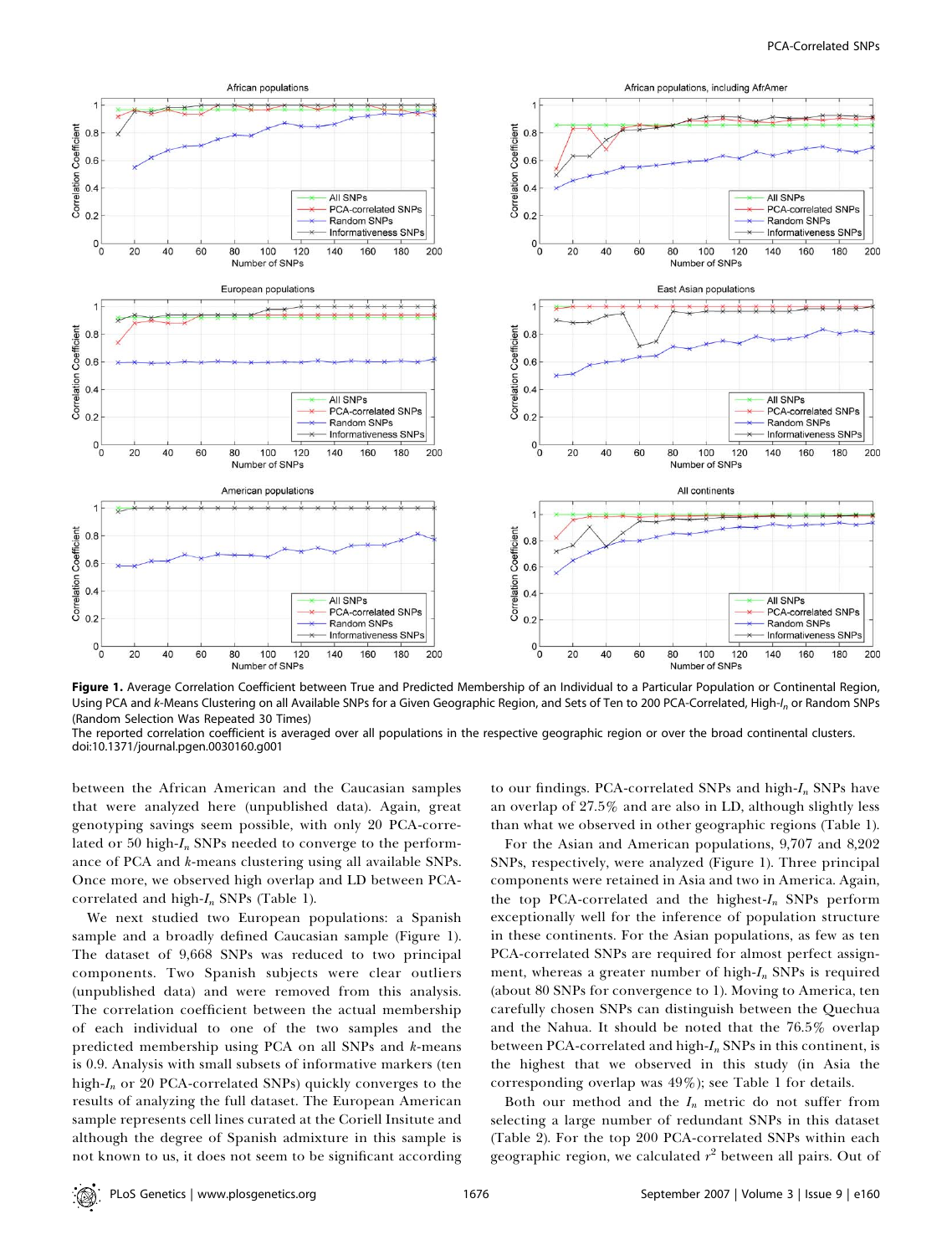

Fiqure 1. Average Correlation Coefficient between True and Predicted Membership of an Individual to a Particular Population or Continental Region, Using PCA and k-Means Clustering on all Available SNPs for a Given Geographic Region, and Sets of Ten to 200 PCA-Correlated, High-I<sub>n</sub> or Random SNPs (Random Selection Was Repeated 30 Times)

The reported correlation coefficient is averaged over all populations in the respective geographic region or over the broad continental clusters. doi:10.1371/journal.pgen.0030160.g001

between the African American and the Caucasian samples that were analyzed here (unpublished data). Again, great genotyping savings seem possible, with only 20 PCA-correlated or 50 high- $I_n$  SNPs needed to converge to the performance of PCA and k-means clustering using all available SNPs. Once more, we observed high overlap and LD between PCAcorrelated and high- $I_n$  SNPs (Table 1).

We next studied two European populations: a Spanish sample and a broadly defined Caucasian sample (Figure 1). The dataset of 9,668 SNPs was reduced to two principal components. Two Spanish subjects were clear outliers (unpublished data) and were removed from this analysis. The correlation coefficient between the actual membership of each individual to one of the two samples and the predicted membership using PCA on all SNPs and k-means is 0.9. Analysis with small subsets of informative markers (ten high- $I_n$  or 20 PCA-correlated SNPs) quickly converges to the results of analyzing the full dataset. The European American sample represents cell lines curated at the Coriell Insitute and although the degree of Spanish admixture in this sample is not known to us, it does not seem to be significant according to our findings. PCA-correlated SNPs and high- $I_n$  SNPs have an overlap of 27.5% and are also in LD, although slightly less than what we observed in other geographic regions (Table 1).

For the Asian and American populations, 9,707 and 8,202 SNPs, respectively, were analyzed (Figure 1). Three principal components were retained in Asia and two in America. Again, the top PCA-correlated and the highest- $I_n$  SNPs perform exceptionally well for the inference of population structure in these continents. For the Asian populations, as few as ten PCA-correlated SNPs are required for almost perfect assignment, whereas a greater number of high- $I_n$  SNPs is required (about 80 SNPs for convergence to 1). Moving to America, ten carefully chosen SNPs can distinguish between the Quechua and the Nahua. It should be noted that the 76.5% overlap between PCA-correlated and high- $I_n$  SNPs in this continent, is the highest that we observed in this study (in Asia the corresponding overlap was 49%); see Table 1 for details.

Both our method and the  $I_n$  metric do not suffer from selecting a large number of redundant SNPs in this dataset (Table 2). For the top 200 PCA-correlated SNPs within each geographic region, we calculated  $r^2$  between all pairs. Out of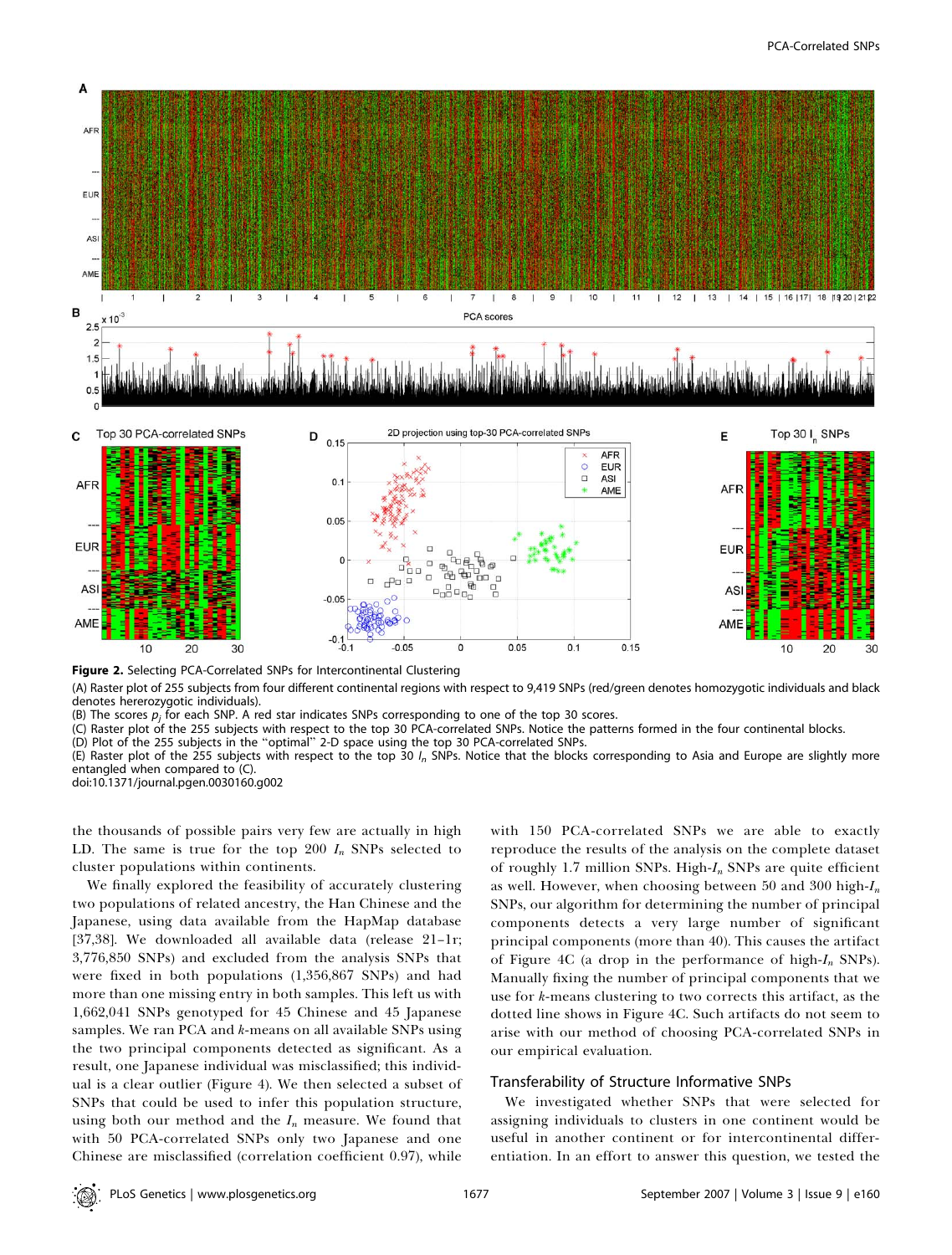

Figure 2. Selecting PCA-Correlated SNPs for Intercontinental Clustering

(A) Raster plot of 255 subjects from four different continental regions with respect to 9,419 SNPs (red/green denotes homozygotic individuals and black denotes hererozygotic individuals).

(B) The scores  $p_i$  for each SNP. A red star indicates SNPs corresponding to one of the top 30 scores.

(C) Raster plot of the 255 subjects with respect to the top 30 PCA-correlated SNPs. Notice the patterns formed in the four continental blocks.

(D) Plot of the 255 subjects in the ''optimal'' 2-D space using the top 30 PCA-correlated SNPs.

(E) Raster plot of the 255 subjects with respect to the top 30  $I_n$  SNPs. Notice that the blocks corresponding to Asia and Europe are slightly more entangled when compared to (C).

doi:10.1371/journal.pgen.0030160.g002

the thousands of possible pairs very few are actually in high LD. The same is true for the top 200  $I_n$  SNPs selected to cluster populations within continents.

We finally explored the feasibility of accurately clustering two populations of related ancestry, the Han Chinese and the Japanese, using data available from the HapMap database [37,38]. We downloaded all available data (release 21–1r; 3,776,850 SNPs) and excluded from the analysis SNPs that were fixed in both populations (1,356,867 SNPs) and had more than one missing entry in both samples. This left us with 1,662,041 SNPs genotyped for 45 Chinese and 45 Japanese samples. We ran PCA and *k*-means on all available SNPs using the two principal components detected as significant. As a result, one Japanese individual was misclassified; this individual is a clear outlier (Figure 4). We then selected a subset of SNPs that could be used to infer this population structure, using both our method and the  $I_n$  measure. We found that with 50 PCA-correlated SNPs only two Japanese and one Chinese are misclassified (correlation coefficient 0.97), while

with 150 PCA-correlated SNPs we are able to exactly reproduce the results of the analysis on the complete dataset of roughly 1.7 million SNPs. High- $I_n$  SNPs are quite efficient as well. However, when choosing between 50 and 300 high- $I_n$ SNPs, our algorithm for determining the number of principal components detects a very large number of significant principal components (more than 40). This causes the artifact of Figure 4C (a drop in the performance of high- $I_n$  SNPs). Manually fixing the number of principal components that we use for k-means clustering to two corrects this artifact, as the dotted line shows in Figure 4C. Such artifacts do not seem to arise with our method of choosing PCA-correlated SNPs in our empirical evaluation.

#### Transferability of Structure Informative SNPs

We investigated whether SNPs that were selected for assigning individuals to clusters in one continent would be useful in another continent or for intercontinental differentiation. In an effort to answer this question, we tested the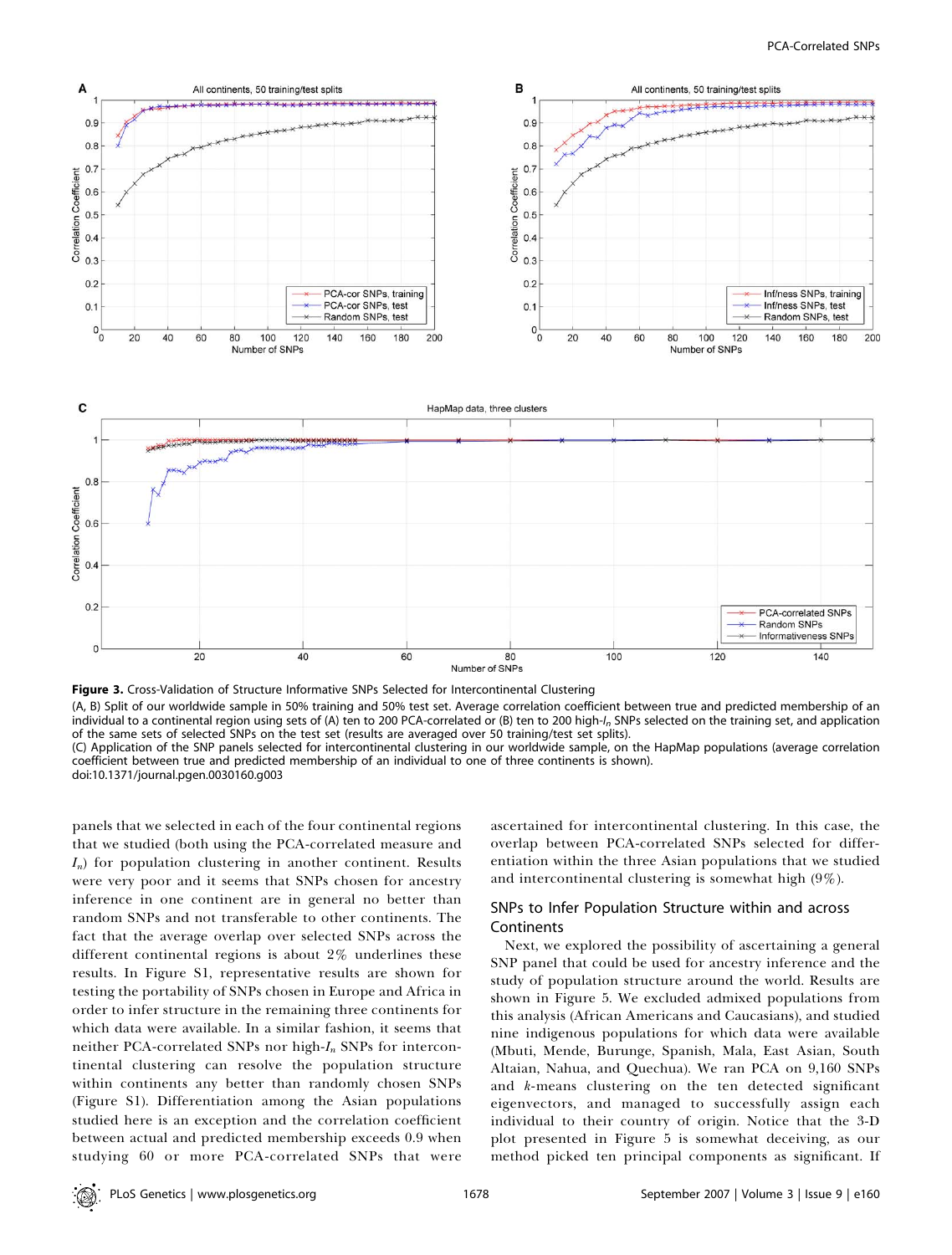

Figure 3. Cross-Validation of Structure Informative SNPs Selected for Intercontinental Clustering

(A, B) Split of our worldwide sample in 50% training and 50% test set. Average correlation coefficient between true and predicted membership of an individual to a continental region using sets of (A) ten to 200 PCA-correlated or (B) ten to 200 high-I<sub>n</sub> SNPs selected on the training set, and application of the same sets of selected SNPs on the test set (results are averaged over 50 training/test set splits).

(C) Application of the SNP panels selected for intercontinental clustering in our worldwide sample, on the HapMap populations (average correlation coefficient between true and predicted membership of an individual to one of three continents is shown). doi:10.1371/journal.pgen.0030160.g003

panels that we selected in each of the four continental regions that we studied (both using the PCA-correlated measure and  $I_n$ ) for population clustering in another continent. Results were very poor and it seems that SNPs chosen for ancestry inference in one continent are in general no better than random SNPs and not transferable to other continents. The fact that the average overlap over selected SNPs across the different continental regions is about 2% underlines these results. In Figure S1, representative results are shown for testing the portability of SNPs chosen in Europe and Africa in order to infer structure in the remaining three continents for which data were available. In a similar fashion, it seems that neither PCA-correlated SNPs nor high- $I_n$  SNPs for intercontinental clustering can resolve the population structure within continents any better than randomly chosen SNPs (Figure S1). Differentiation among the Asian populations studied here is an exception and the correlation coefficient between actual and predicted membership exceeds 0.9 when studying 60 or more PCA-correlated SNPs that were

ascertained for intercontinental clustering. In this case, the overlap between PCA-correlated SNPs selected for differentiation within the three Asian populations that we studied and intercontinental clustering is somewhat high (9%).

## SNPs to Infer Population Structure within and across Continents

Next, we explored the possibility of ascertaining a general SNP panel that could be used for ancestry inference and the study of population structure around the world. Results are shown in Figure 5. We excluded admixed populations from this analysis (African Americans and Caucasians), and studied nine indigenous populations for which data were available (Mbuti, Mende, Burunge, Spanish, Mala, East Asian, South Altaian, Nahua, and Quechua). We ran PCA on 9,160 SNPs and k-means clustering on the ten detected significant eigenvectors, and managed to successfully assign each individual to their country of origin. Notice that the 3-D plot presented in Figure 5 is somewhat deceiving, as our method picked ten principal components as significant. If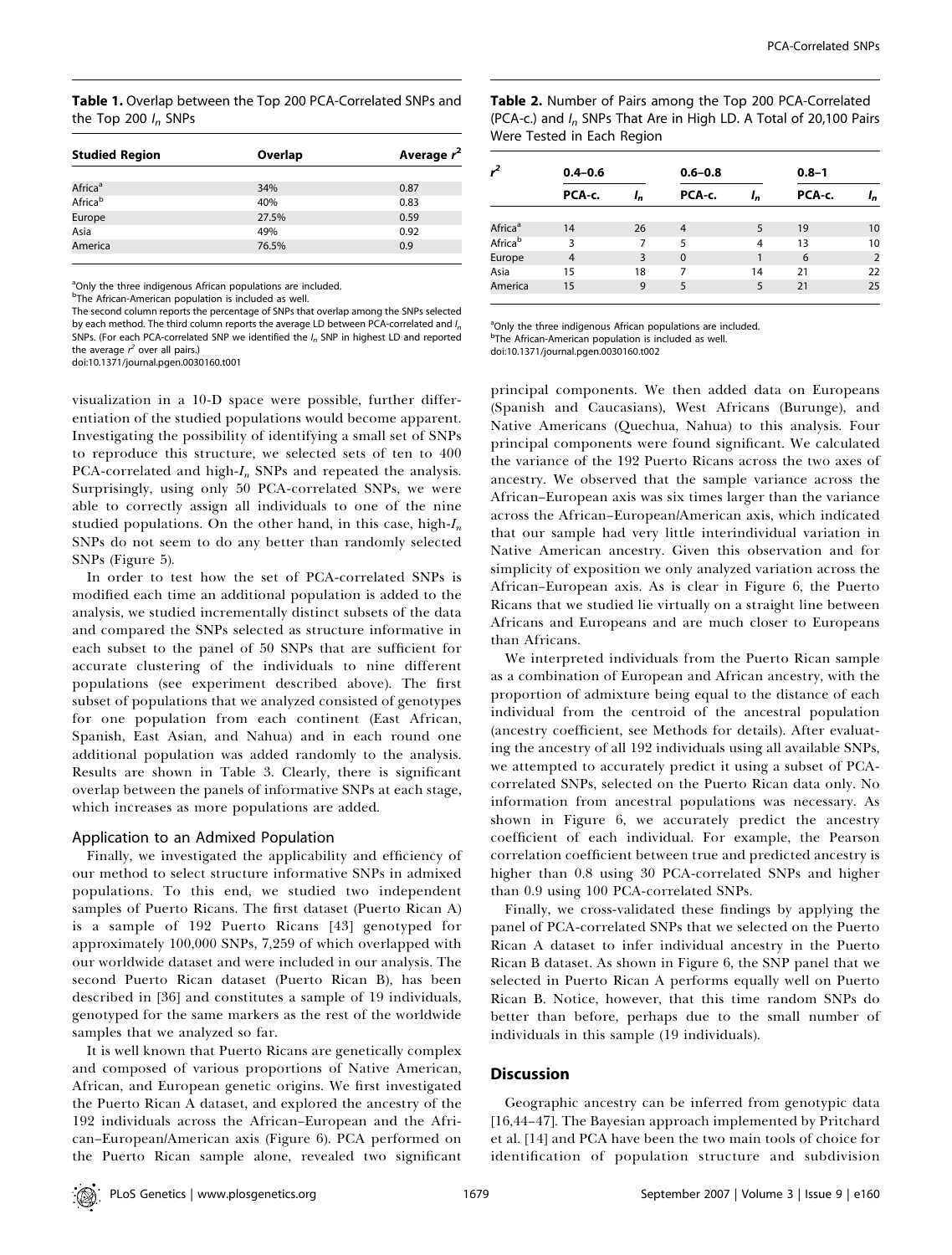Table 1. Overlap between the Top 200 PCA-Correlated SNPs and the Top 200  $I_n$  SNPs

| <b>Studied Region</b> | Overlap | Average $r^2$ |  |
|-----------------------|---------|---------------|--|
|                       |         |               |  |
| Africa <sup>a</sup>   | 34%     | 0.87          |  |
| Africab               | 40%     | 0.83          |  |
| Europe                | 27.5%   | 0.59          |  |
| Asia                  | 49%     | 0.92          |  |
| America               | 76.5%   | 0.9           |  |
|                       |         |               |  |

<sup>a</sup>Only the three indigenous African populations are included.

<sup>b</sup>The African-American population is included as well.

The second column reports the percentage of SNPs that overlap among the SNPs selected by each method. The third column reports the average LD between PCA-correlated and  $I_n$ SNPs. (For each PCA-correlated SNP we identified the  $I<sub>n</sub>$  SNP in highest LD and reported the average  $r^2$  over all pairs.)

doi:10.1371/journal.pgen.0030160.t001

visualization in a 10-D space were possible, further differentiation of the studied populations would become apparent. Investigating the possibility of identifying a small set of SNPs to reproduce this structure, we selected sets of ten to 400 PCA-correlated and high- $I_n$  SNPs and repeated the analysis. Surprisingly, using only 50 PCA-correlated SNPs, we were able to correctly assign all individuals to one of the nine studied populations. On the other hand, in this case, high- $I_n$ SNPs do not seem to do any better than randomly selected SNPs (Figure 5).

In order to test how the set of PCA-correlated SNPs is modified each time an additional population is added to the analysis, we studied incrementally distinct subsets of the data and compared the SNPs selected as structure informative in each subset to the panel of 50 SNPs that are sufficient for accurate clustering of the individuals to nine different populations (see experiment described above). The first subset of populations that we analyzed consisted of genotypes for one population from each continent (East African, Spanish, East Asian, and Nahua) and in each round one additional population was added randomly to the analysis. Results are shown in Table 3. Clearly, there is significant overlap between the panels of informative SNPs at each stage, which increases as more populations are added.

#### Application to an Admixed Population

Finally, we investigated the applicability and efficiency of our method to select structure informative SNPs in admixed populations. To this end, we studied two independent samples of Puerto Ricans. The first dataset (Puerto Rican A) is a sample of 192 Puerto Ricans [43] genotyped for approximately 100,000 SNPs, 7,259 of which overlapped with our worldwide dataset and were included in our analysis. The second Puerto Rican dataset (Puerto Rican B), has been described in [36] and constitutes a sample of 19 individuals, genotyped for the same markers as the rest of the worldwide samples that we analyzed so far.

It is well known that Puerto Ricans are genetically complex and composed of various proportions of Native American, African, and European genetic origins. We first investigated the Puerto Rican A dataset, and explored the ancestry of the 192 individuals across the African–European and the African–European/American axis (Figure 6). PCA performed on the Puerto Rican sample alone, revealed two significant

Table 2. Number of Pairs among the Top 200 PCA-Correlated (PCA-c.) and  $I_n$  SNPs That Are in High LD. A Total of 20,100 Pairs Were Tested in Each Region

|                     | $0.4 - 0.6$    |    | $0.6 - 0.8$    |    | $0.8 - 1$ |                |
|---------------------|----------------|----|----------------|----|-----------|----------------|
|                     | PCA-c.         | ı, | PCA-c.         | ı, | PCA-c.    | ı,             |
| Africa <sup>a</sup> | 14             | 26 | $\overline{4}$ | 5  | 19        | 10             |
| Africab             | 3              | 7  | 5              | 4  | 13        | 10             |
| Europe              | $\overline{4}$ | 3  | $\Omega$       |    | 6         | $\overline{2}$ |
| Asia                | 15             | 18 | 7              | 14 | 21        | 22             |
| America             | 15             | 9  | 5              | 5  | 21        | 25             |

<sup>a</sup>Only the three indigenous African populations are included. <sup>b</sup>The African-American population is included as well.

doi:10.1371/journal.pgen.0030160.t002

principal components. We then added data on Europeans (Spanish and Caucasians), West Africans (Burunge), and Native Americans (Quechua, Nahua) to this analysis. Four principal components were found significant. We calculated the variance of the 192 Puerto Ricans across the two axes of ancestry. We observed that the sample variance across the African–European axis was six times larger than the variance across the African–European/American axis, which indicated that our sample had very little interindividual variation in Native American ancestry. Given this observation and for simplicity of exposition we only analyzed variation across the African–European axis. As is clear in Figure 6, the Puerto Ricans that we studied lie virtually on a straight line between Africans and Europeans and are much closer to Europeans than Africans.

We interpreted individuals from the Puerto Rican sample as a combination of European and African ancestry, with the proportion of admixture being equal to the distance of each individual from the centroid of the ancestral population (ancestry coefficient, see Methods for details). After evaluating the ancestry of all 192 individuals using all available SNPs, we attempted to accurately predict it using a subset of PCAcorrelated SNPs, selected on the Puerto Rican data only. No information from ancestral populations was necessary. As shown in Figure 6, we accurately predict the ancestry coefficient of each individual. For example, the Pearson correlation coefficient between true and predicted ancestry is higher than 0.8 using 30 PCA-correlated SNPs and higher than 0.9 using 100 PCA-correlated SNPs.

Finally, we cross-validated these findings by applying the panel of PCA-correlated SNPs that we selected on the Puerto Rican A dataset to infer individual ancestry in the Puerto Rican B dataset. As shown in Figure 6, the SNP panel that we selected in Puerto Rican A performs equally well on Puerto Rican B. Notice, however, that this time random SNPs do better than before, perhaps due to the small number of individuals in this sample (19 individuals).

#### **Discussion**

Geographic ancestry can be inferred from genotypic data [16,44–47]. The Bayesian approach implemented by Pritchard et al. [14] and PCA have been the two main tools of choice for identification of population structure and subdivision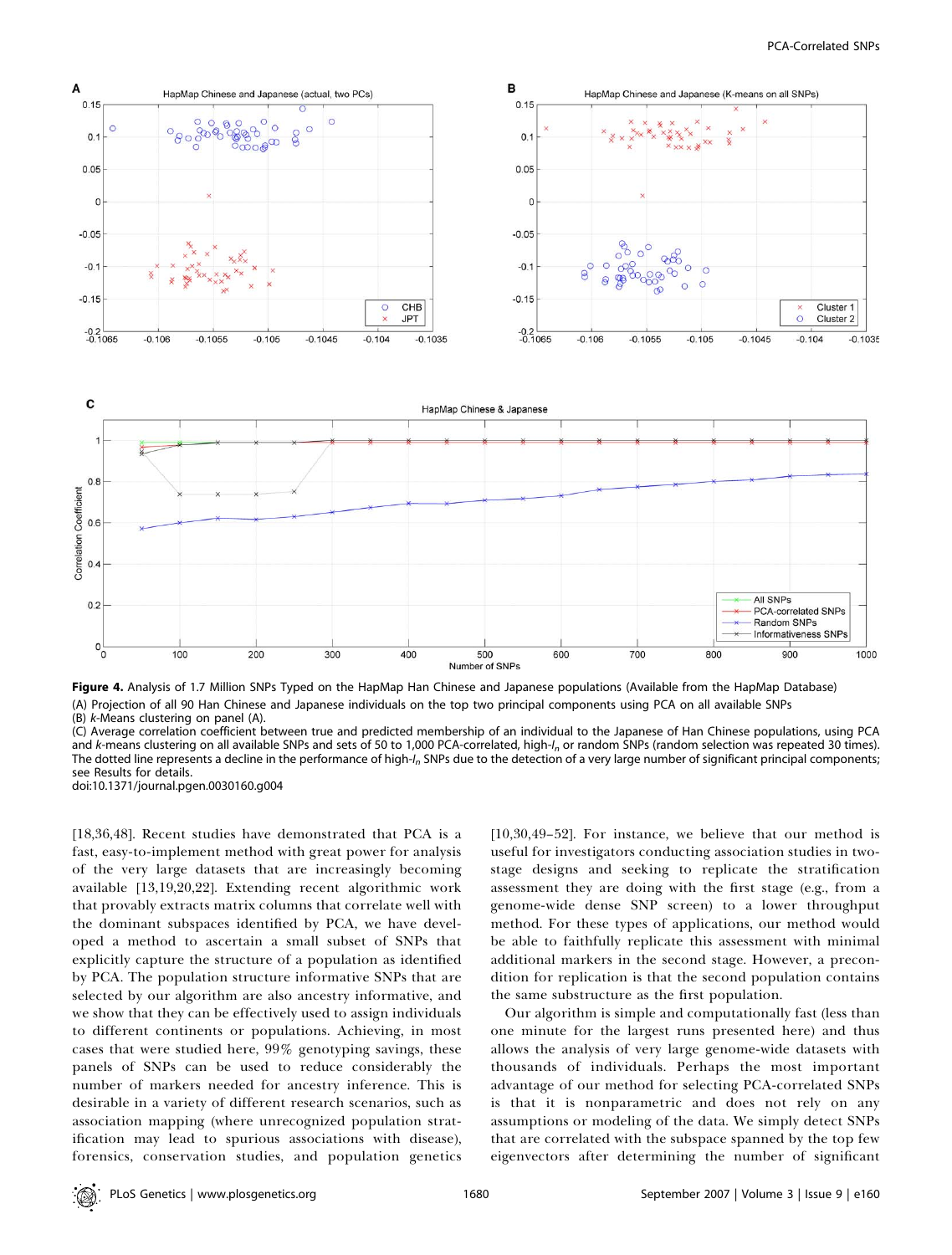



(C) Average correlation coefficient between true and predicted membership of an individual to the Japanese of Han Chinese populations, using PCA and k-means clustering on all available SNPs and sets of 50 to 1,000 PCA-correlated, high- $I<sub>n</sub>$  or random SNPs (random selection was repeated 30 times). The dotted line represents a decline in the performance of high- $I_n$  SNPs due to the detection of a very large number of significant principal components; see Results for details.

doi:10.1371/journal.pgen.0030160.g004

[18,36,48]. Recent studies have demonstrated that PCA is a fast, easy-to-implement method with great power for analysis of the very large datasets that are increasingly becoming available [13,19,20,22]. Extending recent algorithmic work that provably extracts matrix columns that correlate well with the dominant subspaces identified by PCA, we have developed a method to ascertain a small subset of SNPs that explicitly capture the structure of a population as identified by PCA. The population structure informative SNPs that are selected by our algorithm are also ancestry informative, and we show that they can be effectively used to assign individuals to different continents or populations. Achieving, in most cases that were studied here, 99% genotyping savings, these panels of SNPs can be used to reduce considerably the number of markers needed for ancestry inference. This is desirable in a variety of different research scenarios, such as association mapping (where unrecognized population stratification may lead to spurious associations with disease), forensics, conservation studies, and population genetics

[10,30,49–52]. For instance, we believe that our method is useful for investigators conducting association studies in twostage designs and seeking to replicate the stratification assessment they are doing with the first stage (e.g., from a genome-wide dense SNP screen) to a lower throughput method. For these types of applications, our method would be able to faithfully replicate this assessment with minimal additional markers in the second stage. However, a precondition for replication is that the second population contains the same substructure as the first population.

Our algorithm is simple and computationally fast (less than one minute for the largest runs presented here) and thus allows the analysis of very large genome-wide datasets with thousands of individuals. Perhaps the most important advantage of our method for selecting PCA-correlated SNPs is that it is nonparametric and does not rely on any assumptions or modeling of the data. We simply detect SNPs that are correlated with the subspace spanned by the top few eigenvectors after determining the number of significant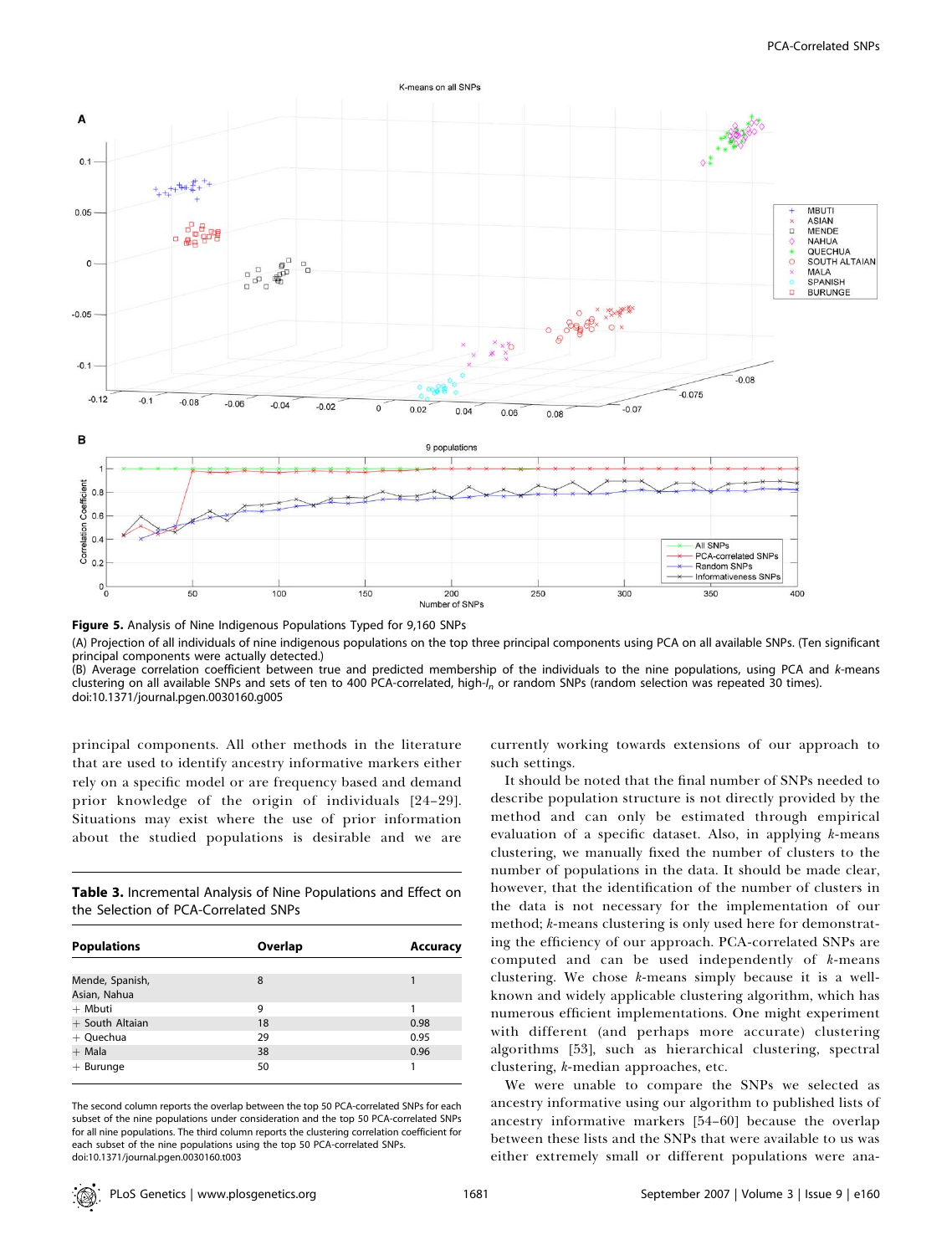

Figure 5. Analysis of Nine Indigenous Populations Typed for 9,160 SNPs

(A) Projection of all individuals of nine indigenous populations on the top three principal components using PCA on all available SNPs. (Ten significant principal components were actually detected.)

(B) Average correlation coefficient between true and predicted membership of the individuals to the nine populations, using PCA and k-means clustering on all available SNPs and sets of ten to 400 PCA-correlated, high- $I_n$  or random SNPs (random selection was repeated 30 times). doi:10.1371/journal.pgen.0030160.g005

principal components. All other methods in the literature that are used to identify ancestry informative markers either rely on a specific model or are frequency based and demand prior knowledge of the origin of individuals [24–29]. Situations may exist where the use of prior information about the studied populations is desirable and we are

Table 3. Incremental Analysis of Nine Populations and Effect on the Selection of PCA-Correlated SNPs

| <b>Populations</b> | Overlap | Accuracy |  |
|--------------------|---------|----------|--|
| Mende, Spanish,    | 8       |          |  |
| Asian, Nahua       |         |          |  |
| $+$ Mbuti          | 9       |          |  |
| + South Altaian    | 18      | 0.98     |  |
| + Quechua          | 29      | 0.95     |  |
| $+$ Mala           | 38      | 0.96     |  |
| $+$ Burunge        | 50      |          |  |

The second column reports the overlap between the top 50 PCA-correlated SNPs for each subset of the nine populations under consideration and the top 50 PCA-correlated SNPs for all nine populations. The third column reports the clustering correlation coefficient for each subset of the nine populations using the top 50 PCA-correlated SNPs. doi:10.1371/journal.pgen.0030160.t003

currently working towards extensions of our approach to such settings.

It should be noted that the final number of SNPs needed to describe population structure is not directly provided by the method and can only be estimated through empirical evaluation of a specific dataset. Also, in applying k-means clustering, we manually fixed the number of clusters to the number of populations in the data. It should be made clear, however, that the identification of the number of clusters in the data is not necessary for the implementation of our method; k-means clustering is only used here for demonstrating the efficiency of our approach. PCA-correlated SNPs are computed and can be used independently of  $k$ -means clustering. We chose k-means simply because it is a wellknown and widely applicable clustering algorithm, which has numerous efficient implementations. One might experiment with different (and perhaps more accurate) clustering algorithms [53], such as hierarchical clustering, spectral clustering, k-median approaches, etc.

We were unable to compare the SNPs we selected as ancestry informative using our algorithm to published lists of ancestry informative markers [54–60] because the overlap between these lists and the SNPs that were available to us was either extremely small or different populations were ana-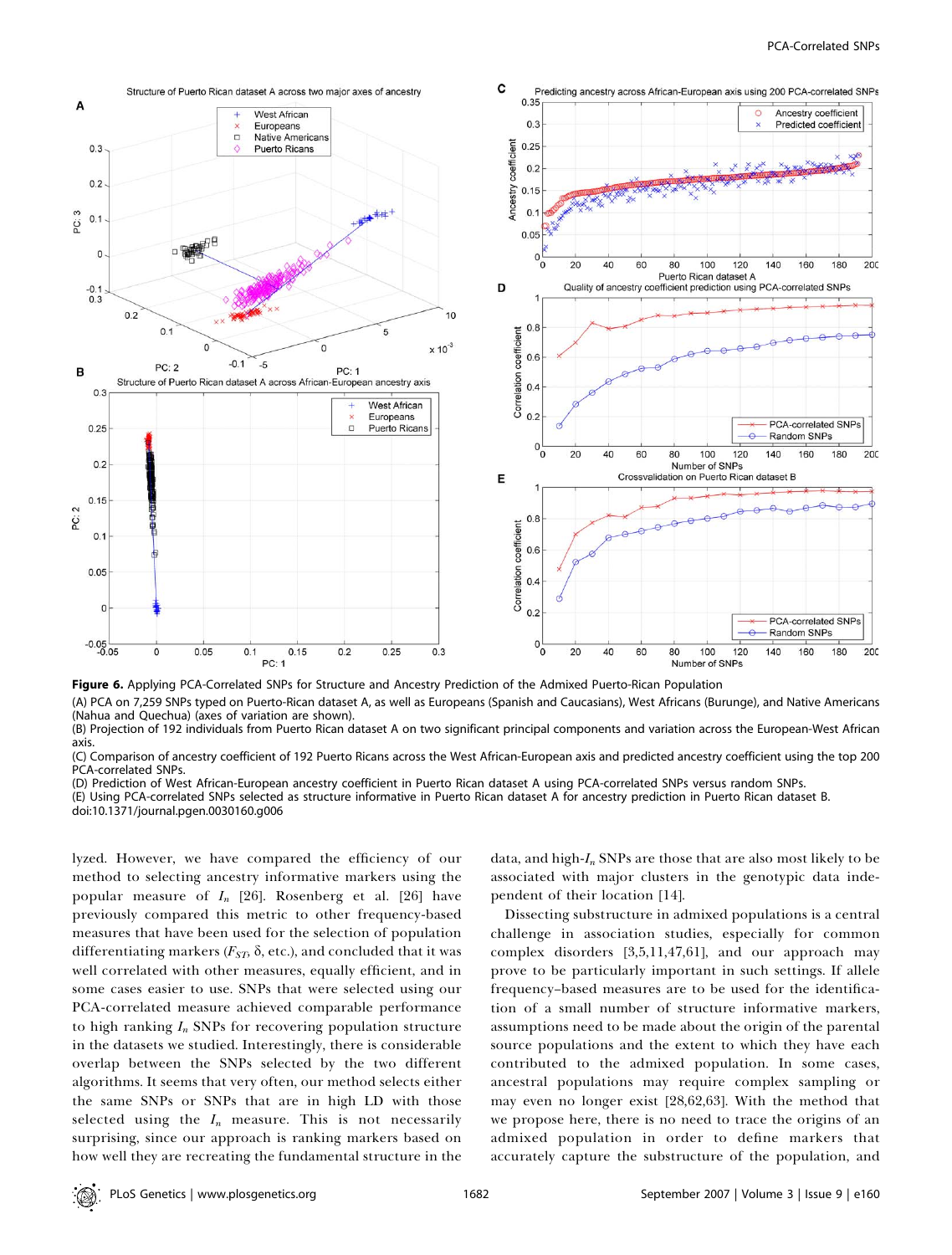

Figure 6. Applying PCA-Correlated SNPs for Structure and Ancestry Prediction of the Admixed Puerto-Rican Population

(A) PCA on 7,259 SNPs typed on Puerto-Rican dataset A, as well as Europeans (Spanish and Caucasians), West Africans (Burunge), and Native Americans (Nahua and Quechua) (axes of variation are shown).

(B) Projection of 192 individuals from Puerto Rican dataset A on two significant principal components and variation across the European-West African axis.

(C) Comparison of ancestry coefficient of 192 Puerto Ricans across the West African-European axis and predicted ancestry coefficient using the top 200 PCA-correlated SNPs.

(D) Prediction of West African-European ancestry coefficient in Puerto Rican dataset A using PCA-correlated SNPs versus random SNPs.

(E) Using PCA-correlated SNPs selected as structure informative in Puerto Rican dataset A for ancestry prediction in Puerto Rican dataset B. doi:10.1371/journal.pgen.0030160.g006

lyzed. However, we have compared the efficiency of our method to selecting ancestry informative markers using the popular measure of  $I_n$  [26]. Rosenberg et al. [26] have previously compared this metric to other frequency-based measures that have been used for the selection of population differentiating markers ( $F_{ST}$ ,  $\delta$ , etc.), and concluded that it was well correlated with other measures, equally efficient, and in some cases easier to use. SNPs that were selected using our PCA-correlated measure achieved comparable performance to high ranking  $I_n$  SNPs for recovering population structure in the datasets we studied. Interestingly, there is considerable overlap between the SNPs selected by the two different algorithms. It seems that very often, our method selects either the same SNPs or SNPs that are in high LD with those selected using the  $I_n$  measure. This is not necessarily surprising, since our approach is ranking markers based on how well they are recreating the fundamental structure in the

data, and high- $I_n$  SNPs are those that are also most likely to be associated with major clusters in the genotypic data independent of their location [14].

Dissecting substructure in admixed populations is a central challenge in association studies, especially for common complex disorders [3,5,11,47,61], and our approach may prove to be particularly important in such settings. If allele frequency–based measures are to be used for the identification of a small number of structure informative markers, assumptions need to be made about the origin of the parental source populations and the extent to which they have each contributed to the admixed population. In some cases, ancestral populations may require complex sampling or may even no longer exist [28,62,63]. With the method that we propose here, there is no need to trace the origins of an admixed population in order to define markers that accurately capture the substructure of the population, and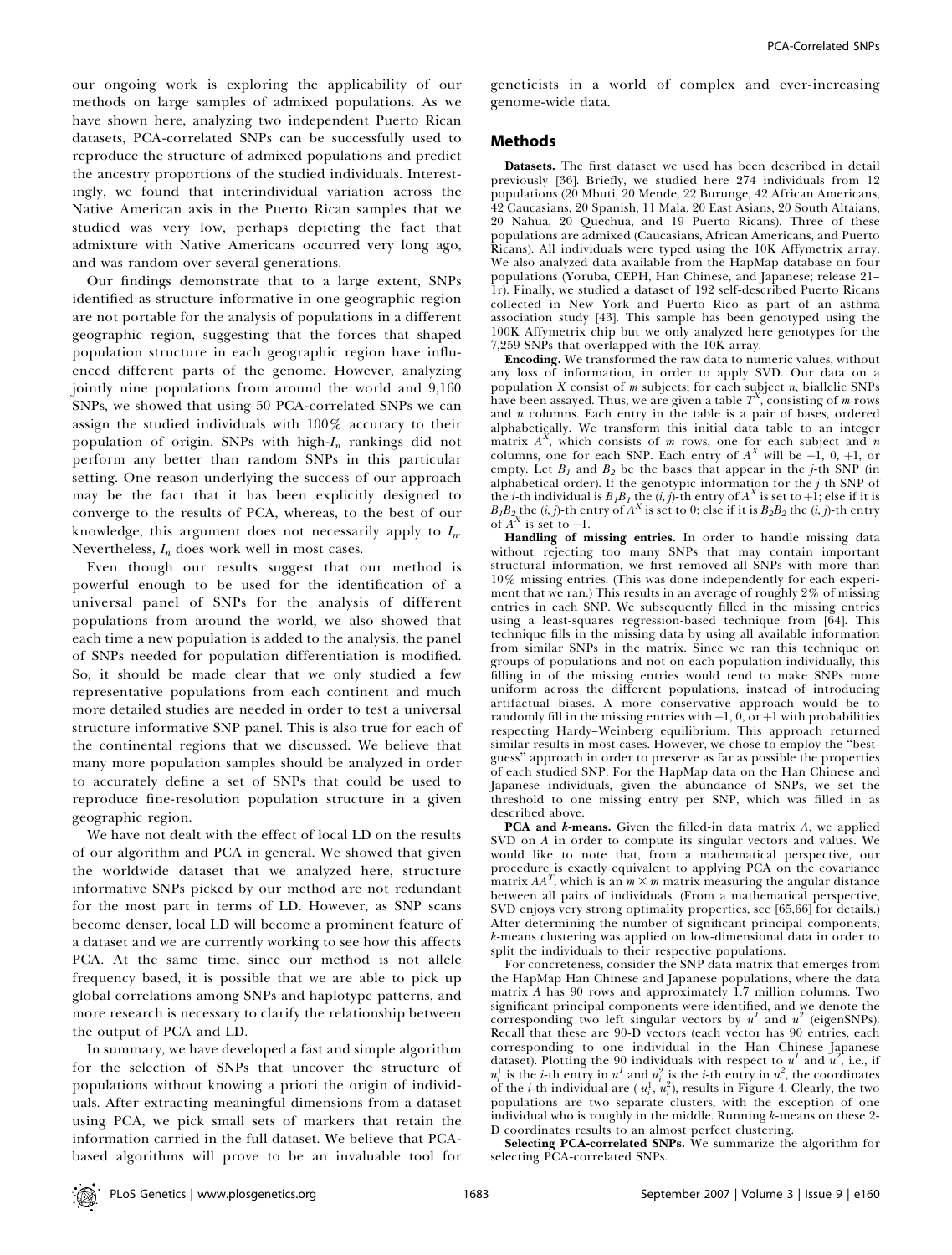our ongoing work is exploring the applicability of our methods on large samples of admixed populations. As we have shown here, analyzing two independent Puerto Rican datasets, PCA-correlated SNPs can be successfully used to reproduce the structure of admixed populations and predict the ancestry proportions of the studied individuals. Interestingly, we found that interindividual variation across the Native American axis in the Puerto Rican samples that we studied was very low, perhaps depicting the fact that admixture with Native Americans occurred very long ago, and was random over several generations.

Our findings demonstrate that to a large extent, SNPs identified as structure informative in one geographic region are not portable for the analysis of populations in a different geographic region, suggesting that the forces that shaped population structure in each geographic region have influenced different parts of the genome. However, analyzing jointly nine populations from around the world and 9,160 SNPs, we showed that using 50 PCA-correlated SNPs we can assign the studied individuals with 100% accuracy to their population of origin. SNPs with high- $I_n$  rankings did not perform any better than random SNPs in this particular setting. One reason underlying the success of our approach may be the fact that it has been explicitly designed to converge to the results of PCA, whereas, to the best of our knowledge, this argument does not necessarily apply to  $I_n$ . Nevertheless,  $I_n$  does work well in most cases.

Even though our results suggest that our method is powerful enough to be used for the identification of a universal panel of SNPs for the analysis of different populations from around the world, we also showed that each time a new population is added to the analysis, the panel of SNPs needed for population differentiation is modified. So, it should be made clear that we only studied a few representative populations from each continent and much more detailed studies are needed in order to test a universal structure informative SNP panel. This is also true for each of the continental regions that we discussed. We believe that many more population samples should be analyzed in order to accurately define a set of SNPs that could be used to reproduce fine-resolution population structure in a given geographic region.

We have not dealt with the effect of local LD on the results of our algorithm and PCA in general. We showed that given the worldwide dataset that we analyzed here, structure informative SNPs picked by our method are not redundant for the most part in terms of LD. However, as SNP scans become denser, local LD will become a prominent feature of a dataset and we are currently working to see how this affects PCA. At the same time, since our method is not allele frequency based, it is possible that we are able to pick up global correlations among SNPs and haplotype patterns, and more research is necessary to clarify the relationship between the output of PCA and LD.

In summary, we have developed a fast and simple algorithm for the selection of SNPs that uncover the structure of populations without knowing a priori the origin of individuals. After extracting meaningful dimensions from a dataset using PCA, we pick small sets of markers that retain the information carried in the full dataset. We believe that PCAbased algorithms will prove to be an invaluable tool for geneticists in a world of complex and ever-increasing genome-wide data.

#### Methods

Datasets. The first dataset we used has been described in detail previously [36]. Briefly, we studied here 274 individuals from 12 populations (20 Mbuti, 20 Mende, 22 Burunge, 42 African Americans, 42 Caucasians, 20 Spanish, 11 Mala, 20 East Asians, 20 South Altaians, 20 Nahua, 20 Quechua, and 19 Puerto Ricans). Three of these populations are admixed (Caucasians, African Americans, and Puerto Ricans). All individuals were typed using the 10K Affymetrix array. We also analyzed data available from the HapMap database on four populations (Yoruba, CEPH, Han Chinese, and Japanese; release 21– 1r). Finally, we studied a dataset of 192 self-described Puerto Ricans collected in New York and Puerto Rico as part of an asthma association study [43]. This sample has been genotyped using the 100K Affymetrix chip but we only analyzed here genotypes for the 7,259 SNPs that overlapped with the 10K array.

Encoding. We transformed the raw data to numeric values, without any loss of information, in order to apply SVD. Our data on a population  $X$  consist of  $m$  subjects; for each subject  $n$ , biallelic SNPs have been assayed. Thus, we are given a table  $T^X$ , consisting of m rows and  $n$  columns. Each entry in the table is a pair of bases, ordered alphabetically. We transform this initial data table to an integer matrix  $A^X$ , which consists of m rows, one for each subject and n columns, one for each SNP. Each entry of  $A^X$  will be  $-\tilde{1}$ , 0, +1, or empty. Let  $B_1$  and  $B_2$  be the bases that appear in the j-th SNP (in alphabetical order). If the genotypic information for the j-th SNP of the *i*-th individual is  $B_I B_I$  the  $(i, j)$ -th entry of  $A^X$  is set to  $+1$ ; else if it is  $B_1B_2$  the  $(i, j)$ -th entry of  $A^X$  is set to 0; else if it is  $B_2B_2$  the  $(i, j)$ -th entry of  $A^X$  is set to -1.

Handling of missing entries. In order to handle missing data without rejecting too many SNPs that may contain important structural information, we first removed all SNPs with more than 10% missing entries. (This was done independently for each experiment that we ran.) This results in an average of roughly 2% of missing entries in each SNP. We subsequently filled in the missing entries using a least-squares regression-based technique from [64]. This technique fills in the missing data by using all available information from similar SNPs in the matrix. Since we ran this technique on groups of populations and not on each population individually, this filling in of the missing entries would tend to make SNPs more uniform across the different populations, instead of introducing artifactual biases. A more conservative approach would be to randomly fill in the missing entries with  $-1$ , 0, or  $+1$  with probabilities respecting Hardy–Weinberg equilibrium. This approach returned similar results in most cases. However, we chose to employ the ''bestguess'' approach in order to preserve as far as possible the properties of each studied SNP. For the HapMap data on the Han Chinese and Japanese individuals, given the abundance of SNPs, we set the threshold to one missing entry per SNP, which was filled in as described above.

**PCA and**  $k$ **-means.** Given the filled-in data matrix  $A$ , we applied SVD on A in order to compute its singular vectors and values. We would like to note that, from a mathematical perspective, our procedure is exactly equivalent to applying PCA on the covariance matrix  $AA^T$ , which is an  $m \times m$  matrix measuring the angular distance between all pairs of individuals. (From a mathematical perspective, SVD enjoys very strong optimality properties, see [65,66] for details.) After determining the number of significant principal components, k-means clustering was applied on low-dimensional data in order to split the individuals to their respective populations.

For concreteness, consider the SNP data matrix that emerges from the HapMap Han Chinese and Japanese populations, where the data matrix A has 90 rows and approximately 1.7 million columns. Two significant principal components were identified, and we denote the corresponding two left singular vectors by  $u^1$  and  $u^2$  (eigenSNPs). Recall that these are 90-D vectors (each vector has 90 entries, each corresponding to one individual in the Han Chinese–Japanese dataset). Plotting the 90 individuals with respect to  $u^I$  and  $u^2$ , i.e., if  $u_i^1$  is the *i*-th entry in  $u^1$  and  $u_i^2$  is the *i*-th entry in  $u^2$ , the coordinates of the *i*-th individual are (  $u_i^1$ ,  $u_i^2$ ), results in Figure 4. Clearly, the two populations are two separate clusters, with the exception of one individual who is roughly in the middle. Running  $k$ -means on these 2-D coordinates results to an almost perfect clustering.

Selecting PCA-correlated SNPs. We summarize the algorithm for selecting PCA-correlated SNPs.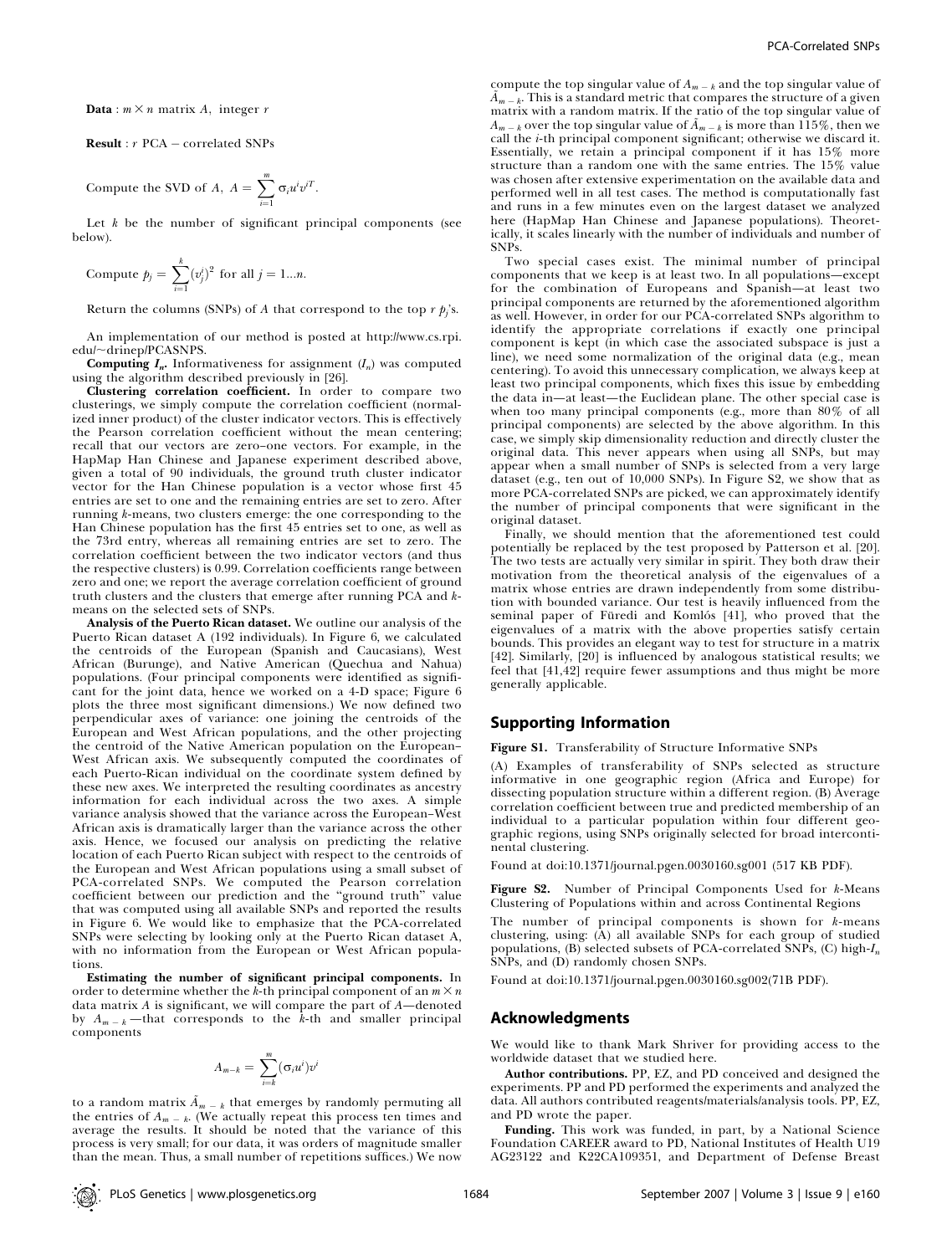**Data** :  $m \times n$  matrix A, integer r

**Result** : 
$$
r
$$
 PCA – correlated SNPs

Compute the SVD of A, 
$$
A = \sum_{i=1}^{m} \sigma_i u^i v^{iT}
$$
.

Let  $k$  be the number of significant principal components (see below).

Compute 
$$
p_j = \sum_{i=1}^k (v_j^i)^2
$$
 for all  $j = 1...n$ .

Return the columns (SNPs) of  $A$  that correspond to the top  $r$   $p_j$ 's.

An implementation of our method is posted at http://www.cs.rpi. edu/~drinep/PCASNPS.

**Computing**  $I_n$ **.** Informativeness for assignment  $(I_n)$  was computed using the algorithm described previously in [26].

Clustering correlation coefficient. In order to compare two clusterings, we simply compute the correlation coefficient (normalized inner product) of the cluster indicator vectors. This is effectively the Pearson correlation coefficient without the mean centering; recall that our vectors are zero–one vectors. For example, in the HapMap Han Chinese and Japanese experiment described above, given a total of 90 individuals, the ground truth cluster indicator vector for the Han Chinese population is a vector whose first 45 entries are set to one and the remaining entries are set to zero. After running k-means, two clusters emerge: the one corresponding to the Han Chinese population has the first 45 entries set to one, as well as the 73rd entry, whereas all remaining entries are set to zero. The correlation coefficient between the two indicator vectors (and thus the respective clusters) is 0.99. Correlation coefficients range between zero and one; we report the average correlation coefficient of ground truth clusters and the clusters that emerge after running PCA and kmeans on the selected sets of SNPs.

Analysis of the Puerto Rican dataset. We outline our analysis of the Puerto Rican dataset A (192 individuals). In Figure 6, we calculated the centroids of the European (Spanish and Caucasians), West African (Burunge), and Native American (Quechua and Nahua) populations. (Four principal components were identified as significant for the joint data, hence we worked on a 4-D space; Figure 6 plots the three most significant dimensions.) We now defined two perpendicular axes of variance: one joining the centroids of the European and West African populations, and the other projecting the centroid of the Native American population on the European– West African axis. We subsequently computed the coordinates of each Puerto-Rican individual on the coordinate system defined by these new axes. We interpreted the resulting coordinates as ancestry information for each individual across the two axes. A simple variance analysis showed that the variance across the European–West African axis is dramatically larger than the variance across the other axis. Hence, we focused our analysis on predicting the relative location of each Puerto Rican subject with respect to the centroids of the European and West African populations using a small subset of PCA-correlated SNPs. We computed the Pearson correlation coefficient between our prediction and the ''ground truth'' value that was computed using all available SNPs and reported the results in Figure 6. We would like to emphasize that the PCA-correlated SNPs were selecting by looking only at the Puerto Rican dataset A, with no information from the European or West African populations.

Estimating the number of significant principal components. In order to determine whether the k-th principal component of an  $m \times n$ data matrix  $A$  is significant, we will compare the part of  $A$ —denoted by  $A_{m-k}$  —that corresponds to the k-th and smaller principal components

$$
A_{m-k} = \sum_{i=k}^{m} (\sigma_i u^i) v^i
$$

to a random matrix  $\tilde{A}_{m-k}$  that emerges by randomly permuting all the entries of  $A_{m-k}$ . (We actually repeat this process ten times and average the results. It should be noted that the variance of this process is very small; for our data, it was orders of magnitude smaller than the mean. Thus, a small number of repetitions suffices.) We now

compute the top singular value of  $A_{m-k}$  and the top singular value of  $A_{m-k}$ . This is a standard metric that compares the structure of a given matrix with a random matrix. If the ratio of the top singular value of  $A_{m-k}$  over the top singular value of  $\tilde{A}_{m-k}$  is more than 115%, then we call the i-th principal component significant; otherwise we discard it. Essentially, we retain a principal component if it has 15% more structure than a random one with the same entries. The 15% value was chosen after extensive experimentation on the available data and performed well in all test cases. The method is computationally fast and runs in a few minutes even on the largest dataset we analyzed here (HapMap Han Chinese and Japanese populations). Theoretically, it scales linearly with the number of individuals and number of SNPs.

Two special cases exist. The minimal number of principal components that we keep is at least two. In all populations—except for the combination of Europeans and Spanish—at least two principal components are returned by the aforementioned algorithm as well. However, in order for our PCA-correlated SNPs algorithm to identify the appropriate correlations if exactly one principal component is kept (in which case the associated subspace is just a line), we need some normalization of the original data (e.g., mean centering). To avoid this unnecessary complication, we always keep at least two principal components, which fixes this issue by embedding the data in—at least—the Euclidean plane. The other special case is when too many principal components (e.g., more than 80% of all principal components) are selected by the above algorithm. In this case, we simply skip dimensionality reduction and directly cluster the original data. This never appears when using all SNPs, but may appear when a small number of SNPs is selected from a very large dataset (e.g., ten out of 10,000 SNPs). In Figure S2, we show that as more PCA-correlated SNPs are picked, we can approximately identify the number of principal components that were significant in the original dataset.

Finally, we should mention that the aforementioned test could potentially be replaced by the test proposed by Patterson et al. [20]. The two tests are actually very similar in spirit. They both draw their motivation from the theoretical analysis of the eigenvalues of a matrix whose entries are drawn independently from some distribution with bounded variance. Our test is heavily influenced from the seminal paper of Füredi and Komlós [41], who proved that the eigenvalues of a matrix with the above properties satisfy certain bounds. This provides an elegant way to test for structure in a matrix [42]. Similarly, [20] is influenced by analogous statistical results; we feel that [41,42] require fewer assumptions and thus might be more generally applicable.

### Supporting Information

Figure S1. Transferability of Structure Informative SNPs

(A) Examples of transferability of SNPs selected as structure informative in one geographic region (Africa and Europe) for dissecting population structure within a different region. (B) Average correlation coefficient between true and predicted membership of an individual to a particular population within four different geographic regions, using SNPs originally selected for broad intercontinental clustering.

Found at doi:10.1371/journal.pgen.0030160.sg001 (517 KB PDF).

Figure S2. Number of Principal Components Used for k-Means Clustering of Populations within and across Continental Regions

The number of principal components is shown for  $k$ -means clustering, using: (A) all available SNPs for each group of studied populations, (B) selected subsets of PCA-correlated SNPs, (C) high- $I_n$ SNPs, and (D) randomly chosen SNPs.

Found at doi:10.1371/journal.pgen.0030160.sg002(71B PDF).

#### Acknowledgments

We would like to thank Mark Shriver for providing access to the worldwide dataset that we studied here.

Author contributions. PP, EZ, and PD conceived and designed the experiments. PP and PD performed the experiments and analyzed the data. All authors contributed reagents/materials/analysis tools. PP, EZ, and PD wrote the paper.

Funding. This work was funded, in part, by a National Science Foundation CAREER award to PD, National Institutes of Health U19 AG23122 and K22CA109351, and Department of Defense Breast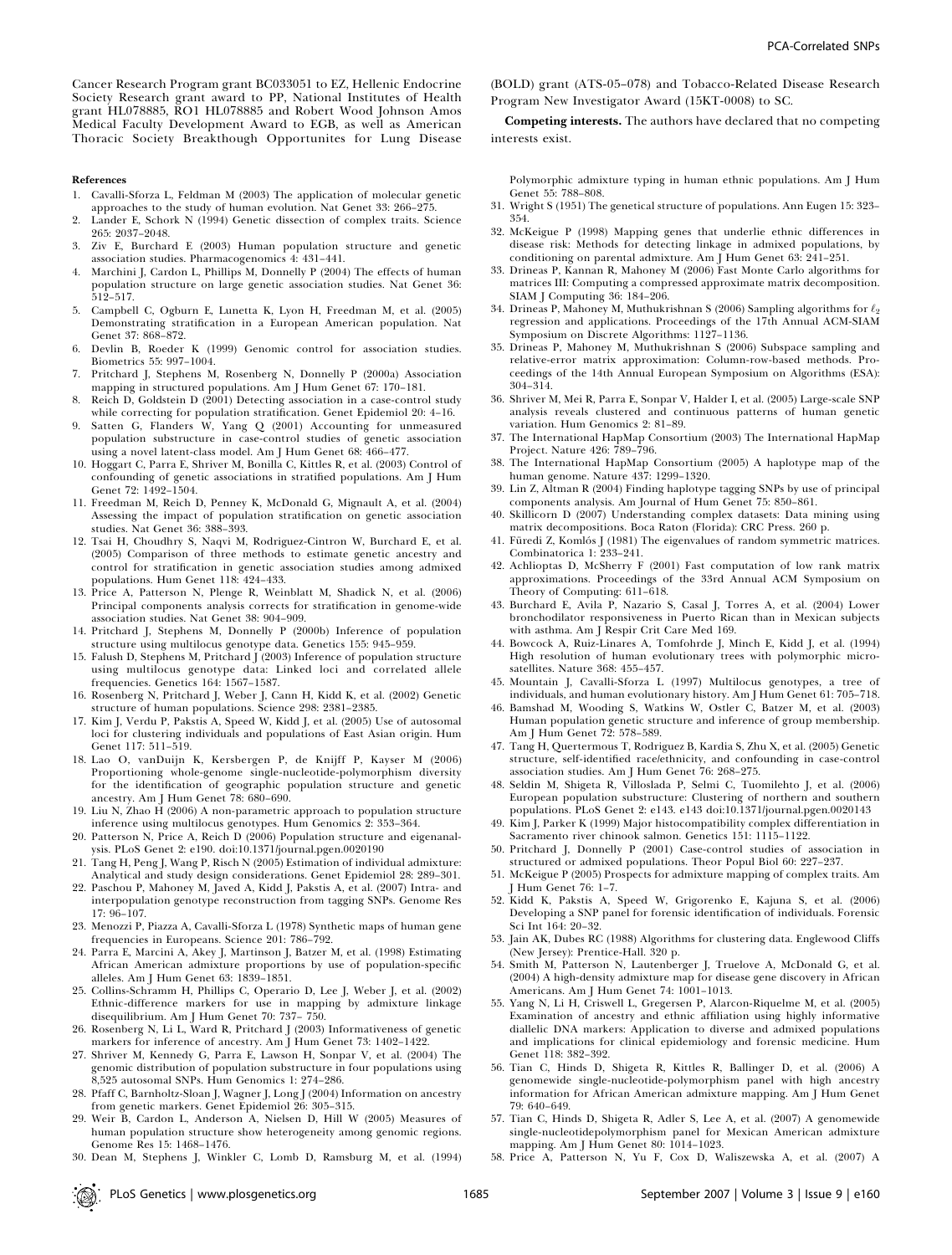Cancer Research Program grant BC033051 to EZ, Hellenic Endocrine Society Research grant award to PP, National Institutes of Health grant HL078885, RO1 HL078885 and Robert Wood Johnson Amos Medical Faculty Development Award to EGB, as well as American Thoracic Society Breakthough Opportunites for Lung Disease

#### References

- 1. Cavalli-Sforza L, Feldman M (2003) The application of molecular genetic approaches to the study of human evolution. Nat Genet 33: 266–275.
- 2. Lander E, Schork N (1994) Genetic dissection of complex traits. Science 265: 2037–2048.
- 3. Ziv E, Burchard E (2003) Human population structure and genetic association studies. Pharmacogenomics 4: 431–441.
- Marchini J, Cardon L, Phillips M, Donnelly P (2004) The effects of human population structure on large genetic association studies. Nat Genet 36: 512–517.
- 5. Campbell C, Ogburn E, Lunetta K, Lyon H, Freedman M, et al. (2005) Demonstrating stratification in a European American population. Nat Genet 37: 868–872.
- 6. Devlin B, Roeder K (1999) Genomic control for association studies. Biometrics 55: 997–1004.
- 7. Pritchard J, Stephens M, Rosenberg N, Donnelly P (2000a) Association mapping in structured populations. Am J Hum Genet 67: 170–181.
- 8. Reich D, Goldstein D (2001) Detecting association in a case-control study while correcting for population stratification. Genet Epidemiol 20: 4–16.
- Satten G, Flanders W, Yang Q (2001) Accounting for unmeasured population substructure in case-control studies of genetic association using a novel latent-class model. Am J Hum Genet 68: 466–477.
- 10. Hoggart C, Parra E, Shriver M, Bonilla C, Kittles R, et al. (2003) Control of confounding of genetic associations in stratified populations. Am J Hum Genet 72: 1492–1504.
- 11. Freedman M, Reich D, Penney K, McDonald G, Mignault A, et al. (2004) Assessing the impact of population stratification on genetic association studies. Nat Genet 36: 388–393.
- 12. Tsai H, Choudhry S, Naqvi M, Rodriguez-Cintron W, Burchard E, et al. (2005) Comparison of three methods to estimate genetic ancestry and control for stratification in genetic association studies among admixed populations. Hum Genet 118: 424–433.
- 13. Price A, Patterson N, Plenge R, Weinblatt M, Shadick N, et al. (2006) Principal components analysis corrects for stratification in genome-wide association studies. Nat Genet 38: 904–909.
- 14. Pritchard J, Stephens M, Donnelly P (2000b) Inference of population structure using multilocus genotype data. Genetics 155: 945–959.
- 15. Falush D, Stephens M, Pritchard  $J(2003)$  Inference of population structure using multilocus genotype data: Linked loci and correlated allele frequencies. Genetics 164: 1567–1587.
- 16. Rosenberg N, Pritchard J, Weber J, Cann H, Kidd K, et al. (2002) Genetic structure of human populations. Science 298: 2381–2385.
- 17. Kim J, Verdu P, Pakstis A, Speed W, Kidd J, et al. (2005) Use of autosomal loci for clustering individuals and populations of East Asian origin. Hum Genet 117: 511–519.
- 18. Lao O, vanDuijn K, Kersbergen P, de Knijff P, Kayser M (2006) Proportioning whole-genome single-nucleotide-polymorphism diversity for the identification of geographic population structure and genetic ancestry. Am J Hum Genet 78: 680–690.
- 19. Liu N, Zhao H (2006) A non-parametric approach to population structure inference using multilocus genotypes. Hum Genomics 2: 353–364.
- 20. Patterson N, Price A, Reich D (2006) Population structure and eigenanalysis. PLoS Genet 2: e190. doi:10.1371/journal.pgen.0020190
- 21. Tang H, Peng J, Wang P, Risch N (2005) Estimation of individual admixture: Analytical and study design considerations. Genet Epidemiol 28: 289–301.
- 22. Paschou P, Mahoney M, Javed A, Kidd J, Pakstis A, et al. (2007) Intra- and interpopulation genotype reconstruction from tagging SNPs. Genome Res 17: 96–107.
- 23. Menozzi P, Piazza A, Cavalli-Sforza L (1978) Synthetic maps of human gene frequencies in Europeans. Science 201: 786–792.
- 24. Parra E, Marcini A, Akey J, Martinson J, Batzer M, et al. (1998) Estimating African American admixture proportions by use of population-specific alleles. Am J Hum Genet 63: 1839–1851.
- 25. Collins-Schramm H, Phillips C, Operario D, Lee J, Weber J, et al. (2002) Ethnic-difference markers for use in mapping by admixture linkage disequilibrium. Am J Hum Genet 70: 737– 750.
- 26. Rosenberg N, Li L, Ward R, Pritchard J (2003) Informativeness of genetic markers for inference of ancestry. Am J Hum Genet 73: 1402–1422.
- 27. Shriver M, Kennedy G, Parra E, Lawson H, Sonpar V, et al. (2004) The genomic distribution of population substructure in four populations using 8,525 autosomal SNPs. Hum Genomics 1: 274–286.
- 28. Pfaff C, Barnholtz-Sloan J, Wagner J, Long J (2004) Information on ancestry from genetic markers. Genet Epidemiol 26: 305–315.
- 29. Weir B, Cardon L, Anderson A, Nielsen D, Hill W (2005) Measures of human population structure show heterogeneity among genomic regions. Genome Res 15: 1468–1476.
- 30. Dean M, Stephens J, Winkler C, Lomb D, Ramsburg M, et al. (1994)

(BOLD) grant (ATS-05–078) and Tobacco-Related Disease Research Program New Investigator Award (15KT-0008) to SC.

Competing interests. The authors have declared that no competing interests exist.

Polymorphic admixture typing in human ethnic populations. Am J Hum Genet 55: 788–808.

- 31. Wright S (1951) The genetical structure of populations. Ann Eugen 15: 323– 354.
- 32. McKeigue P (1998) Mapping genes that underlie ethnic differences in disease risk: Methods for detecting linkage in admixed populations, by conditioning on parental admixture. Am J Hum Genet 63: 241–251.
- 33. Drineas P, Kannan R, Mahoney M (2006) Fast Monte Carlo algorithms for matrices III: Computing a compressed approximate matrix decomposition. SIAM J Computing 36: 184–206.
- 34. Drineas P, Mahoney M, Muthukrishnan S (2006) Sampling algorithms for  $\ell_2$ regression and applications. Proceedings of the 17th Annual ACM-SIAM Symposium on Discrete Algorithms: 1127–1136.
- 35. Drineas P, Mahoney M, Muthukrishnan S (2006) Subspace sampling and relative-error matrix approximation: Column-row-based methods. Proceedings of the 14th Annual European Symposium on Algorithms (ESA): 304–314.
- 36. Shriver M, Mei R, Parra E, Sonpar V, Halder I, et al. (2005) Large-scale SNP analysis reveals clustered and continuous patterns of human genetic variation. Hum Genomics 2: 81–89.
- 37. The International HapMap Consortium (2003) The International HapMap Project. Nature 426: 789–796.
- 38. The International HapMap Consortium (2005) A haplotype map of the human genome. Nature 437: 1299–1320.
- 39. Lin Z, Altman R (2004) Finding haplotype tagging SNPs by use of principal components analysis. Am Journal of Hum Genet 75: 850–861.
- 40. Skillicorn D (2007) Understanding complex datasets: Data mining using matrix decompositions. Boca Raton (Florida): CRC Press. 260 p.
- 41. Füredi Z, Komlós J (1981) The eigenvalues of random symmetric matrices. Combinatorica 1: 233–241.
- 42. Achlioptas D, McSherry F (2001) Fast computation of low rank matrix approximations. Proceedings of the 33rd Annual ACM Symposium on Theory of Computing: 611–618.
- 43. Burchard E, Avila P, Nazario S, Casal J, Torres A, et al. (2004) Lower bronchodilator responsiveness in Puerto Rican than in Mexican subjects with asthma. Am J Respir Crit Care Med 169.
- 44. Bowcock A, Ruiz-Linares A, Tomfohrde J, Minch E, Kidd J, et al. (1994) High resolution of human evolutionary trees with polymorphic microsatellites. Nature 368: 455–457.
- 45. Mountain J, Cavalli-Sforza L (1997) Multilocus genotypes, a tree of individuals, and human evolutionary history. Am J Hum Genet 61: 705–718.
- 46. Bamshad M, Wooding S, Watkins W, Ostler C, Batzer M, et al. (2003) Human population genetic structure and inference of group membership. Am J Hum Genet 72: 578–589.
- 47. Tang H, Quertermous T, Rodriguez B, Kardia S, Zhu X, et al. (2005) Genetic structure, self-identified race/ethnicity, and confounding in case-control association studies. Am J Hum Genet 76: 268–275.
- 48. Seldin M, Shigeta R, Villoslada P, Selmi C, Tuomilehto J, et al. (2006) European population substructure: Clustering of northern and southern populations. PLoS Genet 2: e143. e143 doi:10.1371/journal.pgen.0020143
- 49. Kim J, Parker K (1999) Major histocompatibility complex differentiation in Sacramento river chinook salmon. Genetics 151: 1115–1122.
- 50. Pritchard J, Donnelly P (2001) Case-control studies of association in structured or admixed populations. Theor Popul Biol 60: 227–237.
- 51. McKeigue P (2005) Prospects for admixture mapping of complex traits. Am J Hum Genet 76: 1–7.
- 52. Kidd K, Pakstis A, Speed W, Grigorenko E, Kajuna S, et al. (2006) Developing a SNP panel for forensic identification of individuals. Forensic Sci Int 164: 20–32.
- 53. Jain AK, Dubes RC (1988) Algorithms for clustering data. Englewood Cliffs (New Jersey): Prentice-Hall. 320 p.
- 54. Smith M, Patterson N, Lautenberger J, Truelove A, McDonald G, et al. (2004) A high-density admixture map for disease gene discovery in African Americans. Am J Hum Genet 74: 1001–1013.
- 55. Yang N, Li H, Criswell L, Gregersen P, Alarcon-Riquelme M, et al. (2005) Examination of ancestry and ethnic affiliation using highly informative diallelic DNA markers: Application to diverse and admixed populations and implications for clinical epidemiology and forensic medicine. Hum Genet 118: 382–392.
- 56. Tian C, Hinds D, Shigeta R, Kittles R, Ballinger D, et al. (2006) A genomewide single-nucleotide-polymorphism panel with high ancestry information for African American admixture mapping. Am J Hum Genet 79: 640–649.
- 57. Tian C, Hinds D, Shigeta R, Adler S, Lee A, et al. (2007) A genomewide single-nucleotidepolymorphism panel for Mexican American admixture mapping. Am J Hum Genet 80: 1014–1023.
- 58. Price A, Patterson N, Yu F, Cox D, Waliszewska A, et al. (2007) A